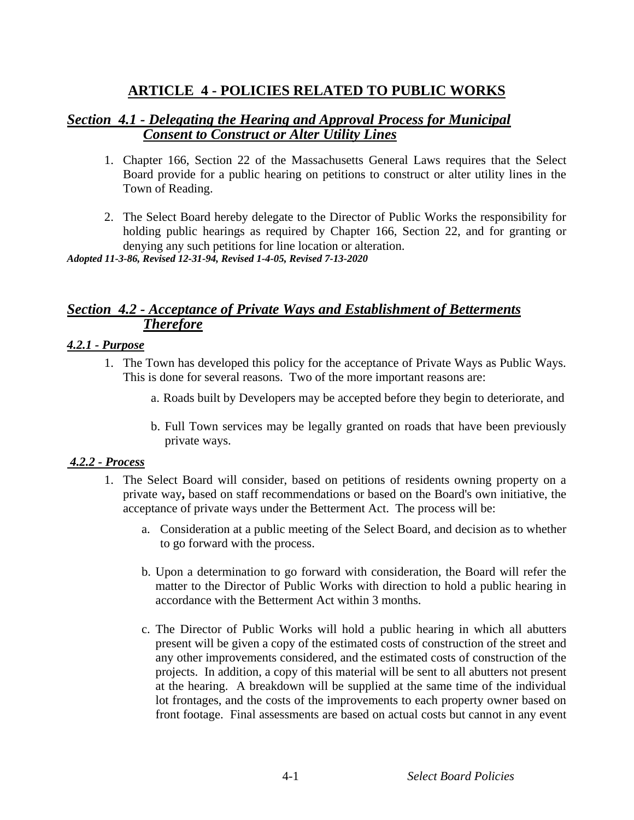# **ARTICLE 4 - POLICIES RELATED TO PUBLIC WORKS**

### *Section 4.1 - Delegating the Hearing and Approval Process for Municipal Consent to Construct or Alter Utility Lines*

- 1. Chapter 166, Section 22 of the Massachusetts General Laws requires that the Select Board provide for a public hearing on petitions to construct or alter utility lines in the Town of Reading.
- 2. The Select Board hereby delegate to the Director of Public Works the responsibility for holding public hearings as required by Chapter 166, Section 22, and for granting or denying any such petitions for line location or alteration.

*Adopted 11-3-86, Revised 12-31-94, Revised 1-4-05, Revised 7-13-2020*

### *Section 4.2 - Acceptance of Private Ways and Establishment of Betterments Therefore*

#### *4.2.1 - Purpose*

- 1. The Town has developed this policy for the acceptance of Private Ways as Public Ways. This is done for several reasons. Two of the more important reasons are:
	- a. Roads built by Developers may be accepted before they begin to deteriorate, and
	- b. Full Town services may be legally granted on roads that have been previously private ways.

### *4.2.2 - Process*

- 1. The Select Board will consider, based on petitions of residents owning property on a private way**,** based on staff recommendations or based on the Board's own initiative, the acceptance of private ways under the Betterment Act. The process will be:
	- a. Consideration at a public meeting of the Select Board, and decision as to whether to go forward with the process.
	- b. Upon a determination to go forward with consideration, the Board will refer the matter to the Director of Public Works with direction to hold a public hearing in accordance with the Betterment Act within 3 months.
	- c. The Director of Public Works will hold a public hearing in which all abutters present will be given a copy of the estimated costs of construction of the street and any other improvements considered, and the estimated costs of construction of the projects. In addition, a copy of this material will be sent to all abutters not present at the hearing. A breakdown will be supplied at the same time of the individual lot frontages, and the costs of the improvements to each property owner based on front footage. Final assessments are based on actual costs but cannot in any event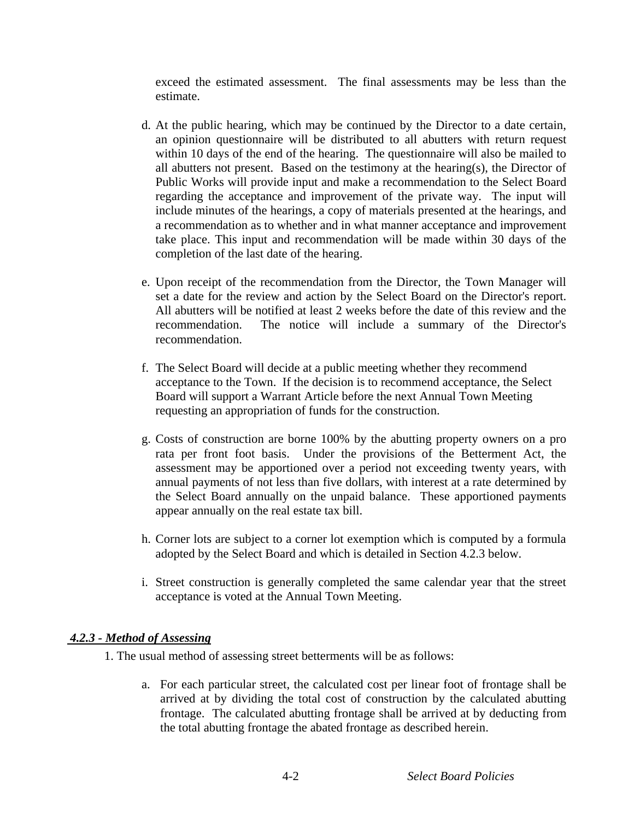exceed the estimated assessment. The final assessments may be less than the estimate.

- d. At the public hearing, which may be continued by the Director to a date certain, an opinion questionnaire will be distributed to all abutters with return request within 10 days of the end of the hearing. The questionnaire will also be mailed to all abutters not present. Based on the testimony at the hearing(s), the Director of Public Works will provide input and make a recommendation to the Select Board regarding the acceptance and improvement of the private way. The input will include minutes of the hearings, a copy of materials presented at the hearings, and a recommendation as to whether and in what manner acceptance and improvement take place. This input and recommendation will be made within 30 days of the completion of the last date of the hearing.
- e. Upon receipt of the recommendation from the Director, the Town Manager will set a date for the review and action by the Select Board on the Director's report. All abutters will be notified at least 2 weeks before the date of this review and the recommendation. The notice will include a summary of the Director's recommendation.
- f. The Select Board will decide at a public meeting whether they recommend acceptance to the Town. If the decision is to recommend acceptance, the Select Board will support a Warrant Article before the next Annual Town Meeting requesting an appropriation of funds for the construction.
- g. Costs of construction are borne 100% by the abutting property owners on a pro rata per front foot basis. Under the provisions of the Betterment Act, the assessment may be apportioned over a period not exceeding twenty years, with annual payments of not less than five dollars, with interest at a rate determined by the Select Board annually on the unpaid balance. These apportioned payments appear annually on the real estate tax bill.
- h. Corner lots are subject to a corner lot exemption which is computed by a formula adopted by the Select Board and which is detailed in Section 4.2.3 below.
- i. Street construction is generally completed the same calendar year that the street acceptance is voted at the Annual Town Meeting.

#### *4.2.3 - Method of Assessing*

1. The usual method of assessing street betterments will be as follows:

a. For each particular street, the calculated cost per linear foot of frontage shall be arrived at by dividing the total cost of construction by the calculated abutting frontage. The calculated abutting frontage shall be arrived at by deducting from the total abutting frontage the abated frontage as described herein.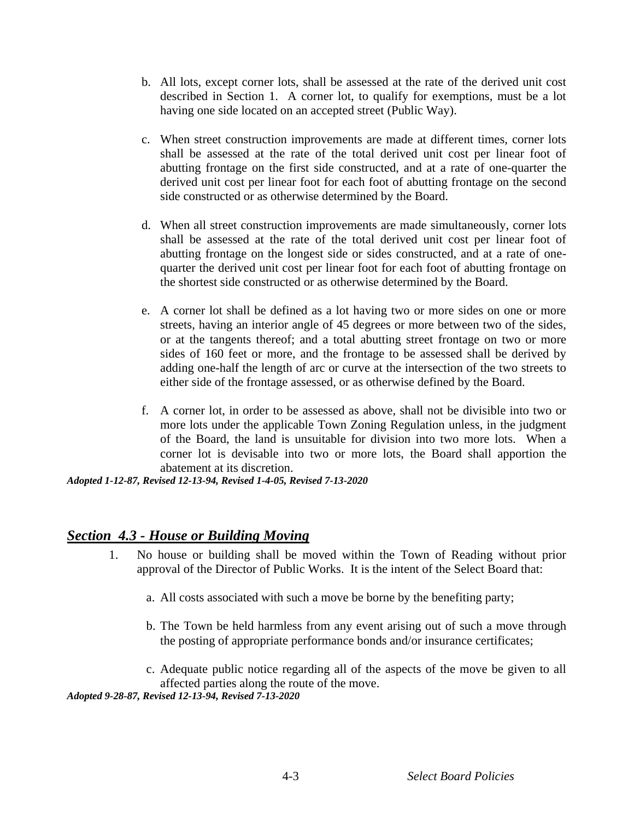- b. All lots, except corner lots, shall be assessed at the rate of the derived unit cost described in Section 1. A corner lot, to qualify for exemptions, must be a lot having one side located on an accepted street (Public Way).
- c. When street construction improvements are made at different times, corner lots shall be assessed at the rate of the total derived unit cost per linear foot of abutting frontage on the first side constructed, and at a rate of one-quarter the derived unit cost per linear foot for each foot of abutting frontage on the second side constructed or as otherwise determined by the Board.
- d. When all street construction improvements are made simultaneously, corner lots shall be assessed at the rate of the total derived unit cost per linear foot of abutting frontage on the longest side or sides constructed, and at a rate of onequarter the derived unit cost per linear foot for each foot of abutting frontage on the shortest side constructed or as otherwise determined by the Board.
- e. A corner lot shall be defined as a lot having two or more sides on one or more streets, having an interior angle of 45 degrees or more between two of the sides, or at the tangents thereof; and a total abutting street frontage on two or more sides of 160 feet or more, and the frontage to be assessed shall be derived by adding one-half the length of arc or curve at the intersection of the two streets to either side of the frontage assessed, or as otherwise defined by the Board.
- f. A corner lot, in order to be assessed as above, shall not be divisible into two or more lots under the applicable Town Zoning Regulation unless, in the judgment of the Board, the land is unsuitable for division into two more lots. When a corner lot is devisable into two or more lots, the Board shall apportion the abatement at its discretion.

*Adopted 1-12-87, Revised 12-13-94, Revised 1-4-05, Revised 7-13-2020*

### *Section 4.3 - House or Building Moving*

- 1. No house or building shall be moved within the Town of Reading without prior approval of the Director of Public Works. It is the intent of the Select Board that:
	- a. All costs associated with such a move be borne by the benefiting party;
	- b. The Town be held harmless from any event arising out of such a move through the posting of appropriate performance bonds and/or insurance certificates;

c. Adequate public notice regarding all of the aspects of the move be given to all affected parties along the route of the move.

*Adopted 9-28-87, Revised 12-13-94, Revised 7-13-2020*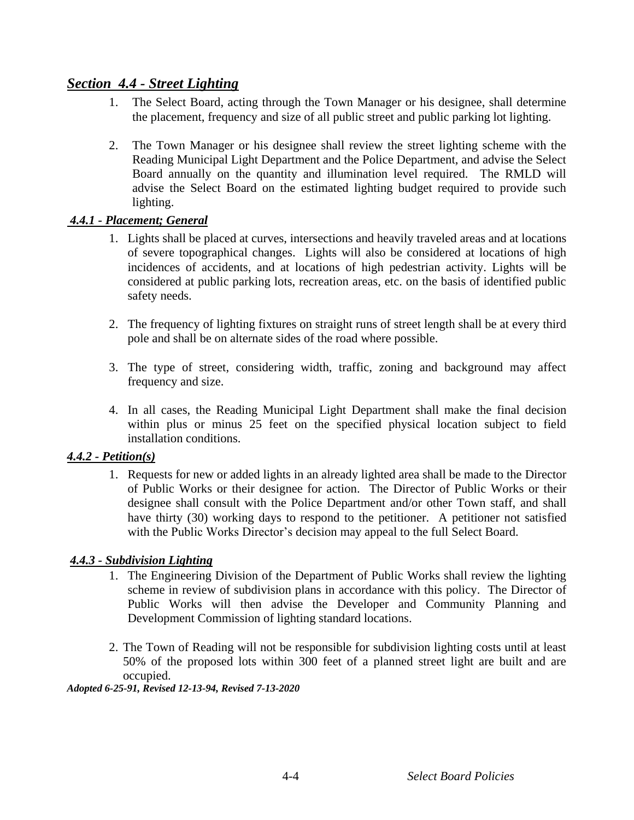### *Section 4.4 - Street Lighting*

- 1. The Select Board, acting through the Town Manager or his designee, shall determine the placement, frequency and size of all public street and public parking lot lighting.
- 2. The Town Manager or his designee shall review the street lighting scheme with the Reading Municipal Light Department and the Police Department, and advise the Select Board annually on the quantity and illumination level required. The RMLD will advise the Select Board on the estimated lighting budget required to provide such lighting.

### *4.4.1 - Placement; General*

- 1. Lights shall be placed at curves, intersections and heavily traveled areas and at locations of severe topographical changes. Lights will also be considered at locations of high incidences of accidents, and at locations of high pedestrian activity. Lights will be considered at public parking lots, recreation areas, etc. on the basis of identified public safety needs.
- 2. The frequency of lighting fixtures on straight runs of street length shall be at every third pole and shall be on alternate sides of the road where possible.
- 3. The type of street, considering width, traffic, zoning and background may affect frequency and size.
- 4. In all cases, the Reading Municipal Light Department shall make the final decision within plus or minus 25 feet on the specified physical location subject to field installation conditions.

### *4.4.2 - Petition(s)*

1. Requests for new or added lights in an already lighted area shall be made to the Director of Public Works or their designee for action. The Director of Public Works or their designee shall consult with the Police Department and/or other Town staff, and shall have thirty (30) working days to respond to the petitioner. A petitioner not satisfied with the Public Works Director's decision may appeal to the full Select Board.

### *4.4.3 - Subdivision Lighting*

- 1. The Engineering Division of the Department of Public Works shall review the lighting scheme in review of subdivision plans in accordance with this policy. The Director of Public Works will then advise the Developer and Community Planning and Development Commission of lighting standard locations.
- 2. The Town of Reading will not be responsible for subdivision lighting costs until at least 50% of the proposed lots within 300 feet of a planned street light are built and are occupied.

#### *Adopted 6-25-91, Revised 12-13-94, Revised 7-13-2020*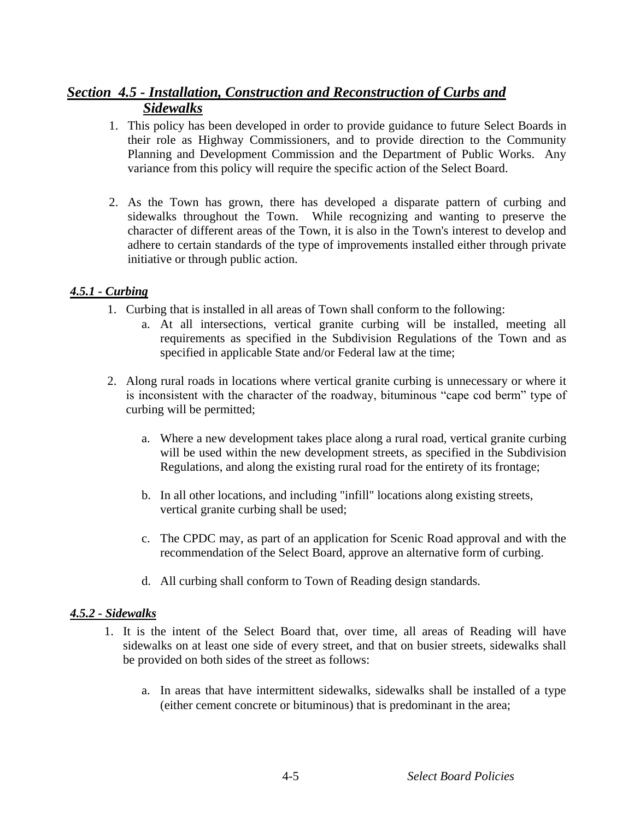# *Section 4.5 - Installation, Construction and Reconstruction of Curbs and Sidewalks*

- 1. This policy has been developed in order to provide guidance to future Select Boards in their role as Highway Commissioners, and to provide direction to the Community Planning and Development Commission and the Department of Public Works. Any variance from this policy will require the specific action of the Select Board.
- 2. As the Town has grown, there has developed a disparate pattern of curbing and sidewalks throughout the Town. While recognizing and wanting to preserve the character of different areas of the Town, it is also in the Town's interest to develop and adhere to certain standards of the type of improvements installed either through private initiative or through public action.

### *4.5.1 - Curbing*

- 1. Curbing that is installed in all areas of Town shall conform to the following:
	- a. At all intersections, vertical granite curbing will be installed, meeting all requirements as specified in the Subdivision Regulations of the Town and as specified in applicable State and/or Federal law at the time;
- 2. Along rural roads in locations where vertical granite curbing is unnecessary or where it is inconsistent with the character of the roadway, bituminous "cape cod berm" type of curbing will be permitted;
	- a. Where a new development takes place along a rural road, vertical granite curbing will be used within the new development streets, as specified in the Subdivision Regulations, and along the existing rural road for the entirety of its frontage;
	- b. In all other locations, and including "infill" locations along existing streets, vertical granite curbing shall be used;
	- c. The CPDC may, as part of an application for Scenic Road approval and with the recommendation of the Select Board, approve an alternative form of curbing.
	- d. All curbing shall conform to Town of Reading design standards.

### *4.5.2 - Sidewalks*

- 1. It is the intent of the Select Board that, over time, all areas of Reading will have sidewalks on at least one side of every street, and that on busier streets, sidewalks shall be provided on both sides of the street as follows:
	- a. In areas that have intermittent sidewalks, sidewalks shall be installed of a type (either cement concrete or bituminous) that is predominant in the area;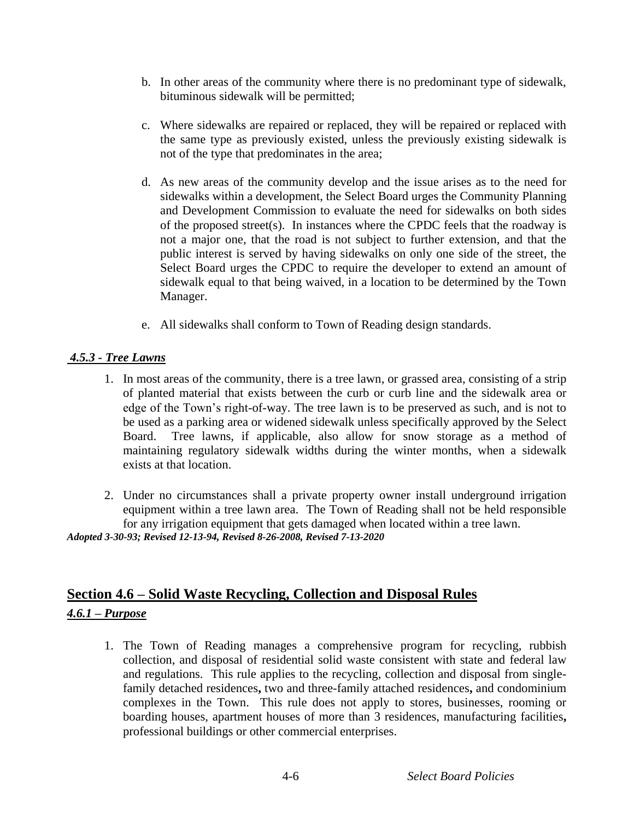- b. In other areas of the community where there is no predominant type of sidewalk, bituminous sidewalk will be permitted;
- c. Where sidewalks are repaired or replaced, they will be repaired or replaced with the same type as previously existed, unless the previously existing sidewalk is not of the type that predominates in the area;
- d. As new areas of the community develop and the issue arises as to the need for sidewalks within a development, the Select Board urges the Community Planning and Development Commission to evaluate the need for sidewalks on both sides of the proposed street(s). In instances where the CPDC feels that the roadway is not a major one, that the road is not subject to further extension, and that the public interest is served by having sidewalks on only one side of the street, the Select Board urges the CPDC to require the developer to extend an amount of sidewalk equal to that being waived, in a location to be determined by the Town Manager.
- e. All sidewalks shall conform to Town of Reading design standards.

### *4.5.3 - Tree Lawns*

- 1. In most areas of the community, there is a tree lawn, or grassed area, consisting of a strip of planted material that exists between the curb or curb line and the sidewalk area or edge of the Town's right-of-way. The tree lawn is to be preserved as such, and is not to be used as a parking area or widened sidewalk unless specifically approved by the Select Board. Tree lawns, if applicable, also allow for snow storage as a method of maintaining regulatory sidewalk widths during the winter months, when a sidewalk exists at that location.
- 2. Under no circumstances shall a private property owner install underground irrigation equipment within a tree lawn area. The Town of Reading shall not be held responsible for any irrigation equipment that gets damaged when located within a tree lawn.

*Adopted 3-30-93; Revised 12-13-94, Revised 8-26-2008, Revised 7-13-2020*

# **Section 4.6 – Solid Waste Recycling, Collection and Disposal Rules**

### *4.6.1 – Purpose*

1. The Town of Reading manages a comprehensive program for recycling, rubbish collection, and disposal of residential solid waste consistent with state and federal law and regulations. This rule applies to the recycling, collection and disposal from singlefamily detached residences**,** two and three-family attached residences**,** and condominium complexes in the Town. This rule does not apply to stores, businesses, rooming or boarding houses, apartment houses of more than 3 residences, manufacturing facilities**,** professional buildings or other commercial enterprises.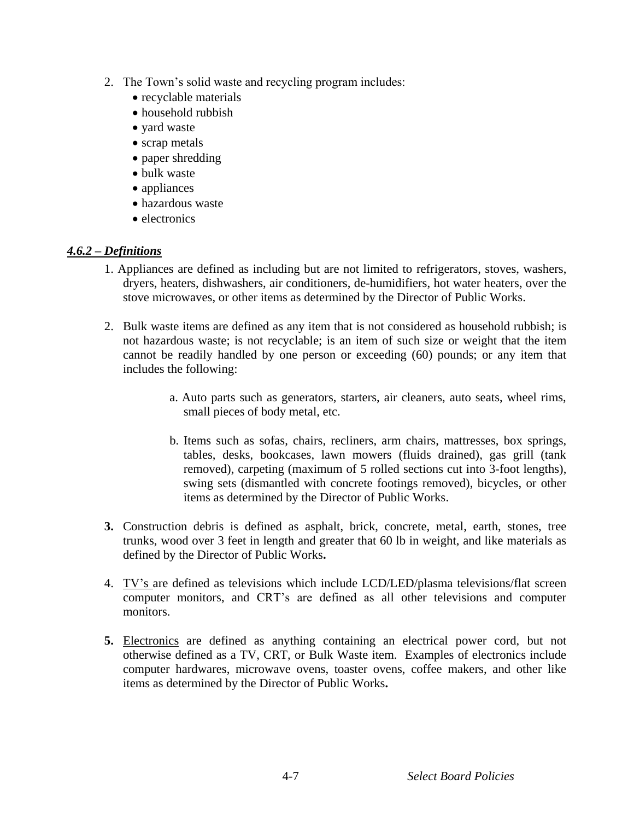- 2. The Town's solid waste and recycling program includes:
	- recyclable materials
	- household rubbish
	- yard waste
	- scrap metals
	- paper shredding
	- bulk waste
	- appliances
	- hazardous waste
	- electronics

### *4.6.2 – Definitions*

- 1. Appliances are defined as including but are not limited to refrigerators, stoves, washers, dryers, heaters, dishwashers, air conditioners, de-humidifiers, hot water heaters, over the stove microwaves, or other items as determined by the Director of Public Works.
- 2. Bulk waste items are defined as any item that is not considered as household rubbish; is not hazardous waste; is not recyclable; is an item of such size or weight that the item cannot be readily handled by one person or exceeding (60) pounds; or any item that includes the following:
	- a. Auto parts such as generators, starters, air cleaners, auto seats, wheel rims, small pieces of body metal, etc.
	- b. Items such as sofas, chairs, recliners, arm chairs, mattresses, box springs, tables, desks, bookcases, lawn mowers (fluids drained), gas grill (tank removed), carpeting (maximum of 5 rolled sections cut into 3-foot lengths), swing sets (dismantled with concrete footings removed), bicycles, or other items as determined by the Director of Public Works.
- **3.** Construction debris is defined as asphalt, brick, concrete, metal, earth, stones, tree trunks, wood over 3 feet in length and greater that 60 lb in weight, and like materials as defined by the Director of Public Works**.**
- 4. TV's are defined as televisions which include LCD/LED/plasma televisions/flat screen computer monitors, and CRT's are defined as all other televisions and computer monitors.
- **5.** Electronics are defined as anything containing an electrical power cord, but not otherwise defined as a TV, CRT, or Bulk Waste item. Examples of electronics include computer hardwares, microwave ovens, toaster ovens, coffee makers, and other like items as determined by the Director of Public Works**.**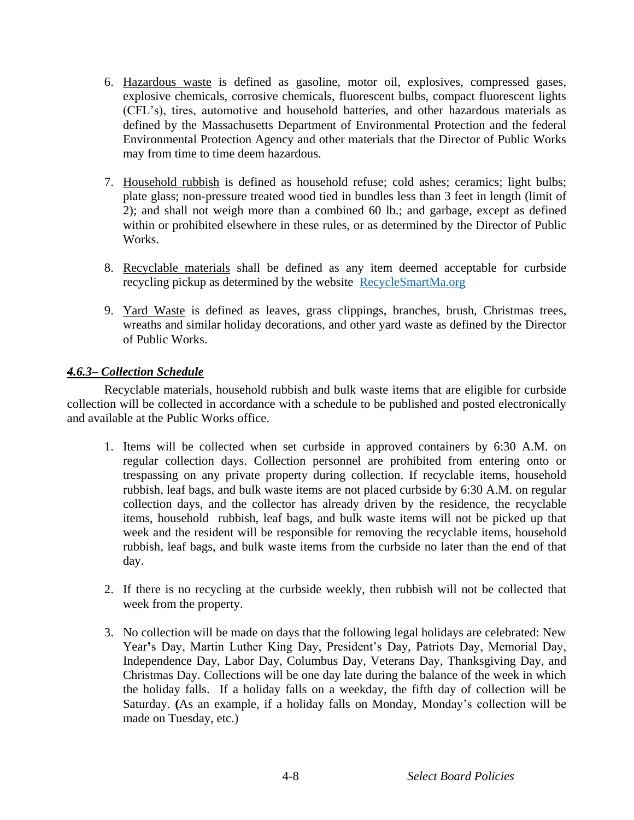- 6. Hazardous waste is defined as gasoline, motor oil, explosives, compressed gases, explosive chemicals, corrosive chemicals, fluorescent bulbs, compact fluorescent lights (CFL's), tires, automotive and household batteries, and other hazardous materials as defined by the Massachusetts Department of Environmental Protection and the federal Environmental Protection Agency and other materials that the Director of Public Works may from time to time deem hazardous.
- 7. Household rubbish is defined as household refuse; cold ashes; ceramics; light bulbs; plate glass; non-pressure treated wood tied in bundles less than 3 feet in length (limit of 2); and shall not weigh more than a combined 60 lb.; and garbage, except as defined within or prohibited elsewhere in these rules, or as determined by the Director of Public Works.
- 8. Recyclable materials shall be defined as any item deemed acceptable for curbside recycling pickup as determined by the website [RecycleSmartMa.org](http://www.recyclesmartma.org/)
- 9. Yard Waste is defined as leaves, grass clippings, branches, brush, Christmas trees, wreaths and similar holiday decorations, and other yard waste as defined by the Director of Public Works.

### *4.6.3– Collection Schedule*

Recyclable materials, household rubbish and bulk waste items that are eligible for curbside collection will be collected in accordance with a schedule to be published and posted electronically and available at the Public Works office.

- 1. Items will be collected when set curbside in approved containers by 6:30 A.M. on regular collection days. Collection personnel are prohibited from entering onto or trespassing on any private property during collection. If recyclable items, household rubbish, leaf bags, and bulk waste items are not placed curbside by 6:30 A.M. on regular collection days, and the collector has already driven by the residence, the recyclable items, household rubbish, leaf bags, and bulk waste items will not be picked up that week and the resident will be responsible for removing the recyclable items, household rubbish, leaf bags, and bulk waste items from the curbside no later than the end of that day.
- 2. If there is no recycling at the curbside weekly, then rubbish will not be collected that week from the property.
- 3. No collection will be made on days that the following legal holidays are celebrated: New Year**'**s Day, Martin Luther King Day, President's Day, Patriots Day, Memorial Day, Independence Day, Labor Day, Columbus Day, Veterans Day, Thanksgiving Day, and Christmas Day. Collections will be one day late during the balance of the week in which the holiday falls. If a holiday falls on a weekday, the fifth day of collection will be Saturday. **(**As an example, if a holiday falls on Monday, Monday's collection will be made on Tuesday, etc.)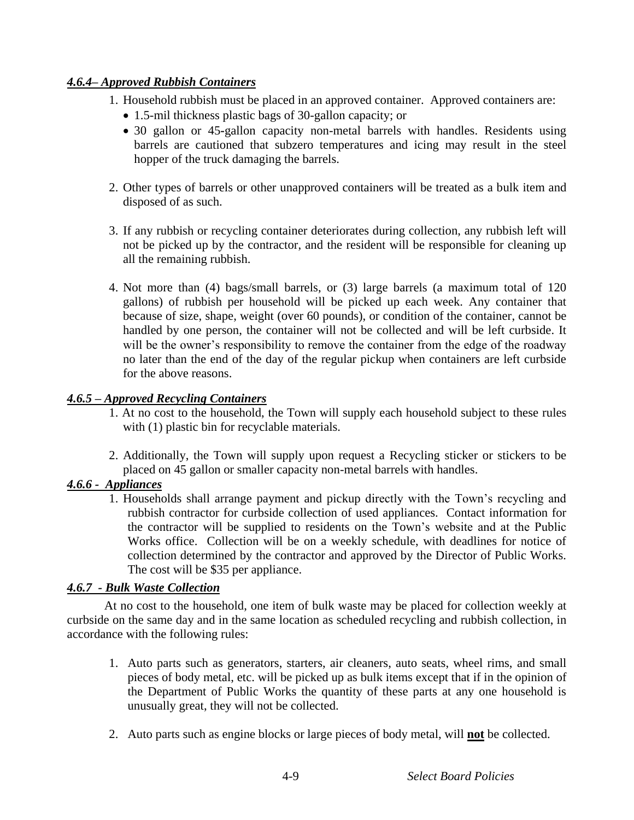### *4.6.4– Approved Rubbish Containers*

- 1. Household rubbish must be placed in an approved container. Approved containers are:
	- 1.5-mil thickness plastic bags of 30-gallon capacity; or
	- 30 gallon or 45**-**gallon capacity non-metal barrels with handles. Residents using barrels are cautioned that subzero temperatures and icing may result in the steel hopper of the truck damaging the barrels.
- 2. Other types of barrels or other unapproved containers will be treated as a bulk item and disposed of as such.
- 3. If any rubbish or recycling container deteriorates during collection, any rubbish left will not be picked up by the contractor, and the resident will be responsible for cleaning up all the remaining rubbish.
- 4. Not more than (4) bags/small barrels, or (3) large barrels (a maximum total of 120 gallons) of rubbish per household will be picked up each week. Any container that because of size, shape, weight (over 60 pounds), or condition of the container, cannot be handled by one person, the container will not be collected and will be left curbside. It will be the owner's responsibility to remove the container from the edge of the roadway no later than the end of the day of the regular pickup when containers are left curbside for the above reasons.

### *4.6.5 – Approved Recycling Containers*

- 1. At no cost to the household, the Town will supply each household subject to these rules with (1) plastic bin for recyclable materials.
- 2. Additionally, the Town will supply upon request a Recycling sticker or stickers to be placed on 45 gallon or smaller capacity non-metal barrels with handles.

### *4.6.6 - Appliances*

1. Households shall arrange payment and pickup directly with the Town's recycling and rubbish contractor for curbside collection of used appliances. Contact information for the contractor will be supplied to residents on the Town's website and at the Public Works office. Collection will be on a weekly schedule, with deadlines for notice of collection determined by the contractor and approved by the Director of Public Works. The cost will be \$35 per appliance.

### *4.6.7 - Bulk Waste Collection*

At no cost to the household, one item of bulk waste may be placed for collection weekly at curbside on the same day and in the same location as scheduled recycling and rubbish collection, in accordance with the following rules:

- 1. Auto parts such as generators, starters, air cleaners, auto seats, wheel rims, and small pieces of body metal, etc. will be picked up as bulk items except that if in the opinion of the Department of Public Works the quantity of these parts at any one household is unusually great, they will not be collected.
- 2. Auto parts such as engine blocks or large pieces of body metal, will **not** be collected.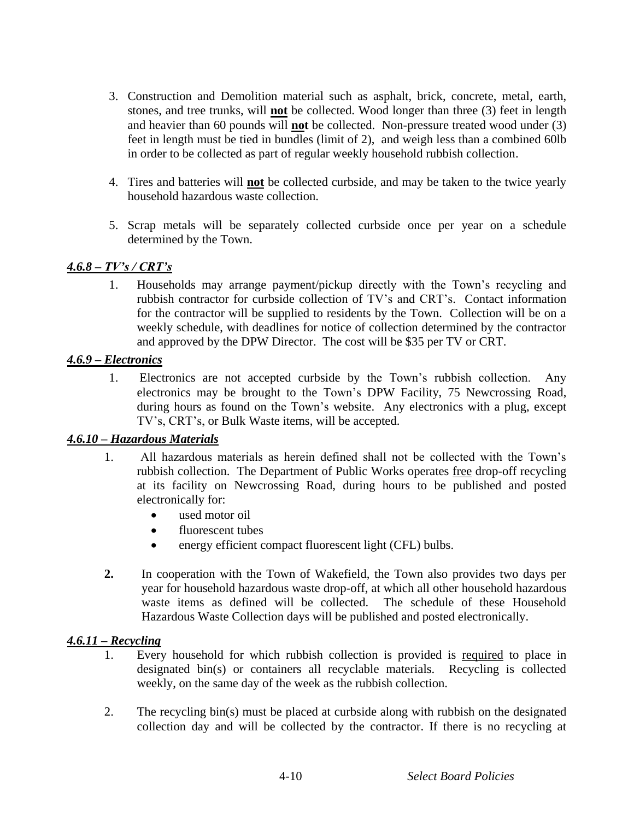- 3. Construction and Demolition material such as asphalt, brick, concrete, metal, earth, stones, and tree trunks, will **not** be collected. Wood longer than three (3) feet in length and heavier than 60 pounds will **not** be collected. Non-pressure treated wood under (3) feet in length must be tied in bundles (limit of 2), and weigh less than a combined 60lb in order to be collected as part of regular weekly household rubbish collection.
- 4. Tires and batteries will **not** be collected curbside, and may be taken to the twice yearly household hazardous waste collection.
- 5. Scrap metals will be separately collected curbside once per year on a schedule determined by the Town.

#### *4.6.8 – TV's / CRT's*

1. Households may arrange payment/pickup directly with the Town's recycling and rubbish contractor for curbside collection of TV's and CRT's. Contact information for the contractor will be supplied to residents by the Town. Collection will be on a weekly schedule, with deadlines for notice of collection determined by the contractor and approved by the DPW Director. The cost will be \$35 per TV or CRT.

#### *4.6.9 – Electronics*

1. Electronics are not accepted curbside by the Town's rubbish collection. Any electronics may be brought to the Town's DPW Facility, 75 Newcrossing Road, during hours as found on the Town's website. Any electronics with a plug, except TV's, CRT's, or Bulk Waste items, will be accepted.

#### *4.6.10 – Hazardous Materials*

- 1. All hazardous materials as herein defined shall not be collected with the Town's rubbish collection. The Department of Public Works operates free drop-off recycling at its facility on Newcrossing Road, during hours to be published and posted electronically for:
	- used motor oil
	- fluorescent tubes
	- energy efficient compact fluorescent light (CFL) bulbs.
- **2.** In cooperation with the Town of Wakefield, the Town also provides two days per year for household hazardous waste drop-off, at which all other household hazardous waste items as defined will be collected. The schedule of these Household Hazardous Waste Collection days will be published and posted electronically.

#### *4.6.11 – Recycling*

- 1. Every household for which rubbish collection is provided is required to place in designated bin(s) or containers all recyclable materials. Recycling is collected weekly, on the same day of the week as the rubbish collection.
- 2. The recycling bin(s) must be placed at curbside along with rubbish on the designated collection day and will be collected by the contractor. If there is no recycling at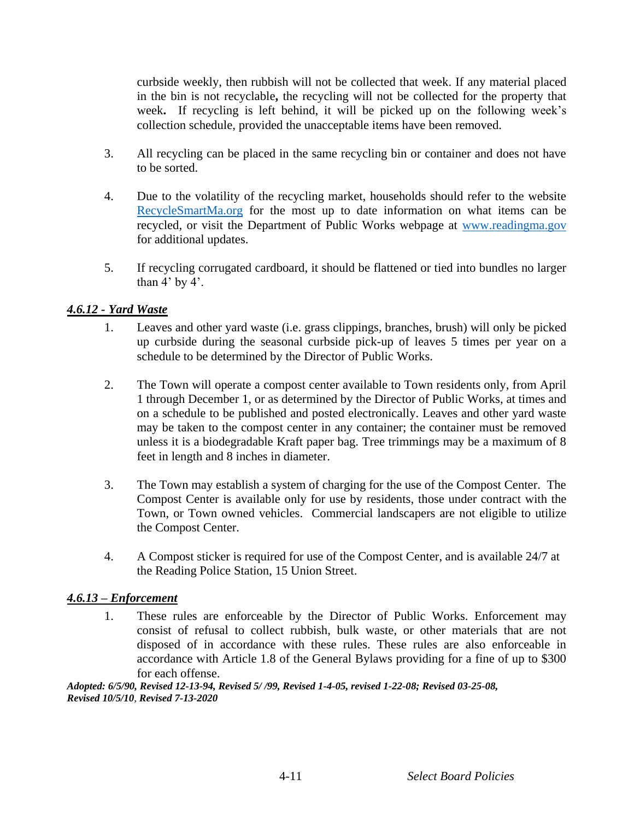curbside weekly, then rubbish will not be collected that week. If any material placed in the bin is not recyclable**,** the recycling will not be collected for the property that week**.** If recycling is left behind, it will be picked up on the following week's collection schedule, provided the unacceptable items have been removed.

- 3. All recycling can be placed in the same recycling bin or container and does not have to be sorted.
- 4. Due to the volatility of the recycling market, households should refer to the website [RecycleSmartMa.org](http://www.recyclesmartma.org/) for the most up to date information on what items can be recycled, or visit the Department of Public Works webpage at [www.readingma.gov](http://www.readingma.gov/) for additional updates.
- 5. If recycling corrugated cardboard, it should be flattened or tied into bundles no larger than  $4'$  by  $4'$ .

### *4.6.12 - Yard Waste*

- 1. Leaves and other yard waste (i.e. grass clippings, branches, brush) will only be picked up curbside during the seasonal curbside pick-up of leaves 5 times per year on a schedule to be determined by the Director of Public Works.
- 2. The Town will operate a compost center available to Town residents only, from April 1 through December 1, or as determined by the Director of Public Works, at times and on a schedule to be published and posted electronically. Leaves and other yard waste may be taken to the compost center in any container; the container must be removed unless it is a biodegradable Kraft paper bag. Tree trimmings may be a maximum of 8 feet in length and 8 inches in diameter.
- 3. The Town may establish a system of charging for the use of the Compost Center. The Compost Center is available only for use by residents, those under contract with the Town, or Town owned vehicles. Commercial landscapers are not eligible to utilize the Compost Center.
- 4. A Compost sticker is required for use of the Compost Center, and is available 24/7 at the Reading Police Station, 15 Union Street.

### *4.6.13 – Enforcement*

1. These rules are enforceable by the Director of Public Works. Enforcement may consist of refusal to collect rubbish, bulk waste, or other materials that are not disposed of in accordance with these rules. These rules are also enforceable in accordance with Article 1.8 of the General Bylaws providing for a fine of up to \$300 for each offense.

*Adopted: 6/5/90, Revised 12-13-94, Revised 5/ /99, Revised 1-4-05, revised 1-22-08; Revised 03-25-08, Revised 10/5/10, Revised 7-13-2020*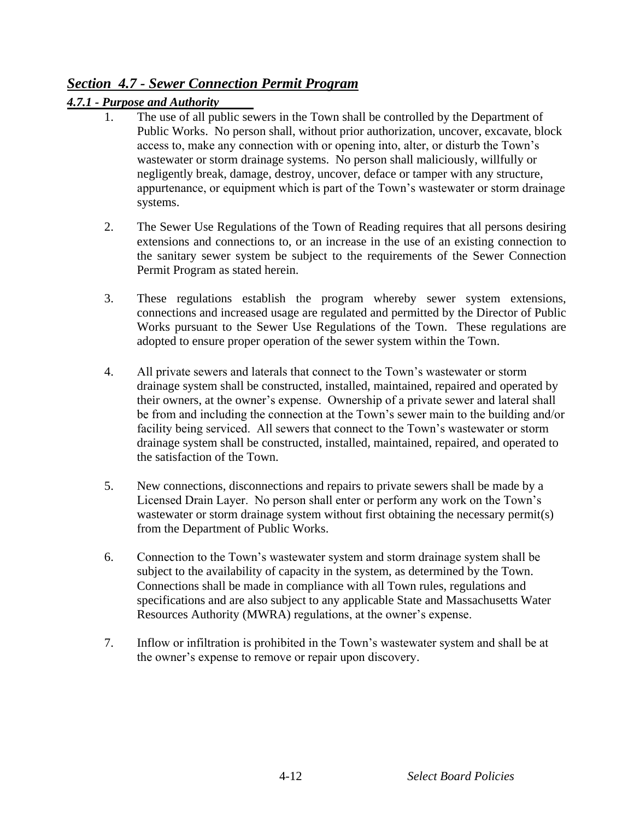# *Section 4.7 - Sewer Connection Permit Program*

### *4.7.1 - Purpose and Authority*

- The use of all public sewers in the Town shall be controlled by the Department of Public Works. No person shall, without prior authorization, uncover, excavate, block access to, make any connection with or opening into, alter, or disturb the Town's wastewater or storm drainage systems. No person shall maliciously, willfully or negligently break, damage, destroy, uncover, deface or tamper with any structure, appurtenance, or equipment which is part of the Town's wastewater or storm drainage systems.
- 2. The Sewer Use Regulations of the Town of Reading requires that all persons desiring extensions and connections to, or an increase in the use of an existing connection to the sanitary sewer system be subject to the requirements of the Sewer Connection Permit Program as stated herein.
- 3. These regulations establish the program whereby sewer system extensions, connections and increased usage are regulated and permitted by the Director of Public Works pursuant to the Sewer Use Regulations of the Town. These regulations are adopted to ensure proper operation of the sewer system within the Town.
- 4. All private sewers and laterals that connect to the Town's wastewater or storm drainage system shall be constructed, installed, maintained, repaired and operated by their owners, at the owner's expense. Ownership of a private sewer and lateral shall be from and including the connection at the Town's sewer main to the building and/or facility being serviced. All sewers that connect to the Town's wastewater or storm drainage system shall be constructed, installed, maintained, repaired, and operated to the satisfaction of the Town.
- 5. New connections, disconnections and repairs to private sewers shall be made by a Licensed Drain Layer. No person shall enter or perform any work on the Town's wastewater or storm drainage system without first obtaining the necessary permit(s) from the Department of Public Works.
- 6. Connection to the Town's wastewater system and storm drainage system shall be subject to the availability of capacity in the system, as determined by the Town. Connections shall be made in compliance with all Town rules, regulations and specifications and are also subject to any applicable State and Massachusetts Water Resources Authority (MWRA) regulations, at the owner's expense.
- 7. Inflow or infiltration is prohibited in the Town's wastewater system and shall be at the owner's expense to remove or repair upon discovery.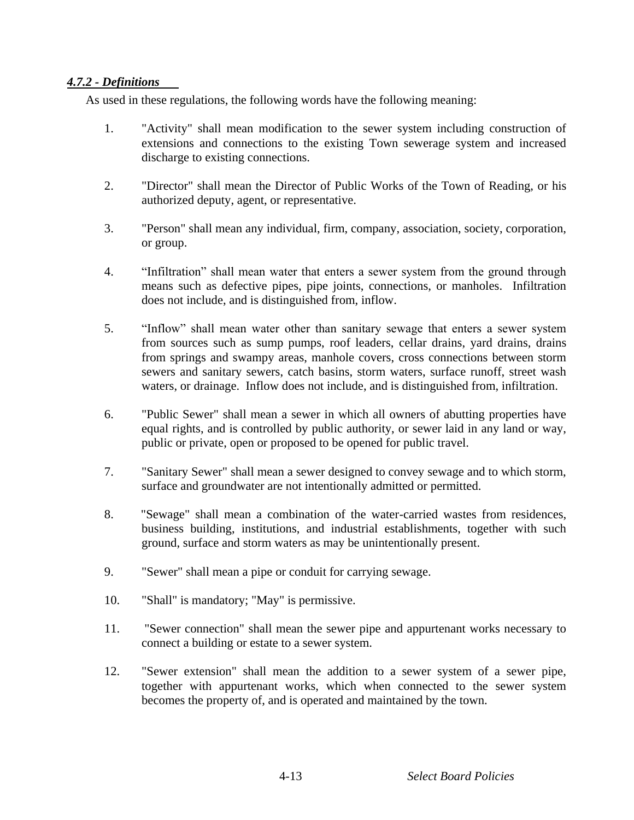### *4.7.2 - Definitions*

As used in these regulations, the following words have the following meaning:

- 1. "Activity" shall mean modification to the sewer system including construction of extensions and connections to the existing Town sewerage system and increased discharge to existing connections.
- 2. "Director" shall mean the Director of Public Works of the Town of Reading, or his authorized deputy, agent, or representative.
- 3. "Person" shall mean any individual, firm, company, association, society, corporation, or group.
- 4. "Infiltration" shall mean water that enters a sewer system from the ground through means such as defective pipes, pipe joints, connections, or manholes. Infiltration does not include, and is distinguished from, inflow.
- 5. "Inflow" shall mean water other than sanitary sewage that enters a sewer system from sources such as sump pumps, roof leaders, cellar drains, yard drains, drains from springs and swampy areas, manhole covers, cross connections between storm sewers and sanitary sewers, catch basins, storm waters, surface runoff, street wash waters, or drainage. Inflow does not include, and is distinguished from, infiltration.
- 6. "Public Sewer" shall mean a sewer in which all owners of abutting properties have equal rights, and is controlled by public authority, or sewer laid in any land or way, public or private, open or proposed to be opened for public travel.
- 7. "Sanitary Sewer" shall mean a sewer designed to convey sewage and to which storm, surface and groundwater are not intentionally admitted or permitted.
- 8. "Sewage" shall mean a combination of the water-carried wastes from residences, business building, institutions, and industrial establishments, together with such ground, surface and storm waters as may be unintentionally present.
- 9. "Sewer" shall mean a pipe or conduit for carrying sewage.
- 10. "Shall" is mandatory; "May" is permissive.
- 11. "Sewer connection" shall mean the sewer pipe and appurtenant works necessary to connect a building or estate to a sewer system.
- 12. "Sewer extension" shall mean the addition to a sewer system of a sewer pipe, together with appurtenant works, which when connected to the sewer system becomes the property of, and is operated and maintained by the town.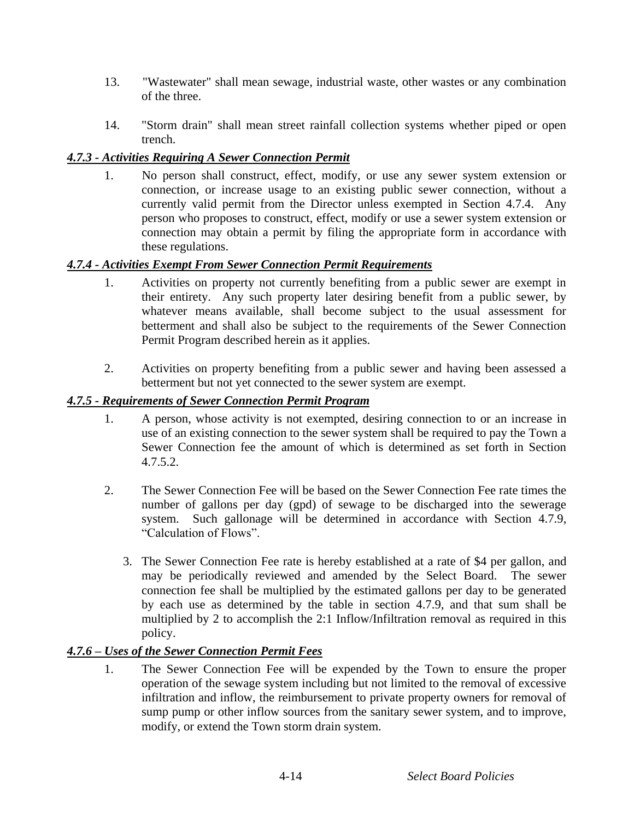- 13. "Wastewater" shall mean sewage, industrial waste, other wastes or any combination of the three.
- 14. "Storm drain" shall mean street rainfall collection systems whether piped or open trench.

### *4.7.3 - Activities Requiring A Sewer Connection Permit*

1. No person shall construct, effect, modify, or use any sewer system extension or connection, or increase usage to an existing public sewer connection, without a currently valid permit from the Director unless exempted in Section 4.7.4. Any person who proposes to construct, effect, modify or use a sewer system extension or connection may obtain a permit by filing the appropriate form in accordance with these regulations.

### *4.7.4 - Activities Exempt From Sewer Connection Permit Requirements*

- 1. Activities on property not currently benefiting from a public sewer are exempt in their entirety. Any such property later desiring benefit from a public sewer, by whatever means available, shall become subject to the usual assessment for betterment and shall also be subject to the requirements of the Sewer Connection Permit Program described herein as it applies.
- 2. Activities on property benefiting from a public sewer and having been assessed a betterment but not yet connected to the sewer system are exempt.

### *4.7.5 - Requirements of Sewer Connection Permit Program*

- 1. A person, whose activity is not exempted, desiring connection to or an increase in use of an existing connection to the sewer system shall be required to pay the Town a Sewer Connection fee the amount of which is determined as set forth in Section 4.7.5.2.
- 2. The Sewer Connection Fee will be based on the Sewer Connection Fee rate times the number of gallons per day (gpd) of sewage to be discharged into the sewerage system. Such gallonage will be determined in accordance with Section 4.7.9, "Calculation of Flows".
	- 3. The Sewer Connection Fee rate is hereby established at a rate of \$4 per gallon, and may be periodically reviewed and amended by the Select Board. The sewer connection fee shall be multiplied by the estimated gallons per day to be generated by each use as determined by the table in section 4.7.9, and that sum shall be multiplied by 2 to accomplish the 2:1 Inflow/Infiltration removal as required in this policy.

### *4.7.6 – Uses of the Sewer Connection Permit Fees*

1. The Sewer Connection Fee will be expended by the Town to ensure the proper operation of the sewage system including but not limited to the removal of excessive infiltration and inflow, the reimbursement to private property owners for removal of sump pump or other inflow sources from the sanitary sewer system, and to improve, modify, or extend the Town storm drain system.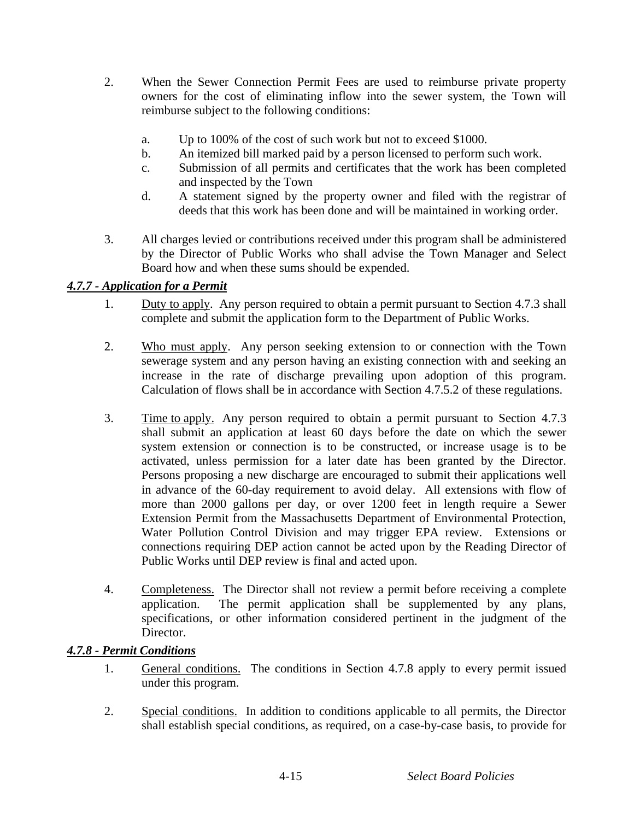- 2. When the Sewer Connection Permit Fees are used to reimburse private property owners for the cost of eliminating inflow into the sewer system, the Town will reimburse subject to the following conditions:
	- a. Up to 100% of the cost of such work but not to exceed \$1000.
	- b. An itemized bill marked paid by a person licensed to perform such work.
	- c. Submission of all permits and certificates that the work has been completed and inspected by the Town
	- d. A statement signed by the property owner and filed with the registrar of deeds that this work has been done and will be maintained in working order.
- 3. All charges levied or contributions received under this program shall be administered by the Director of Public Works who shall advise the Town Manager and Select Board how and when these sums should be expended.

### *4.7.7 - Application for a Permit*

- 1. Duty to apply. Any person required to obtain a permit pursuant to Section 4.7.3 shall complete and submit the application form to the Department of Public Works.
- 2. Who must apply. Any person seeking extension to or connection with the Town sewerage system and any person having an existing connection with and seeking an increase in the rate of discharge prevailing upon adoption of this program. Calculation of flows shall be in accordance with Section 4.7.5.2 of these regulations.
- 3. Time to apply. Any person required to obtain a permit pursuant to Section 4.7.3 shall submit an application at least 60 days before the date on which the sewer system extension or connection is to be constructed, or increase usage is to be activated, unless permission for a later date has been granted by the Director. Persons proposing a new discharge are encouraged to submit their applications well in advance of the 60-day requirement to avoid delay. All extensions with flow of more than 2000 gallons per day, or over 1200 feet in length require a Sewer Extension Permit from the Massachusetts Department of Environmental Protection, Water Pollution Control Division and may trigger EPA review. Extensions or connections requiring DEP action cannot be acted upon by the Reading Director of Public Works until DEP review is final and acted upon.
- 4. Completeness. The Director shall not review a permit before receiving a complete application. The permit application shall be supplemented by any plans, specifications, or other information considered pertinent in the judgment of the Director.

### *4.7.8 - Permit Conditions*

- 1. General conditions. The conditions in Section 4.7.8 apply to every permit issued under this program.
- 2. Special conditions. In addition to conditions applicable to all permits, the Director shall establish special conditions, as required, on a case-by-case basis, to provide for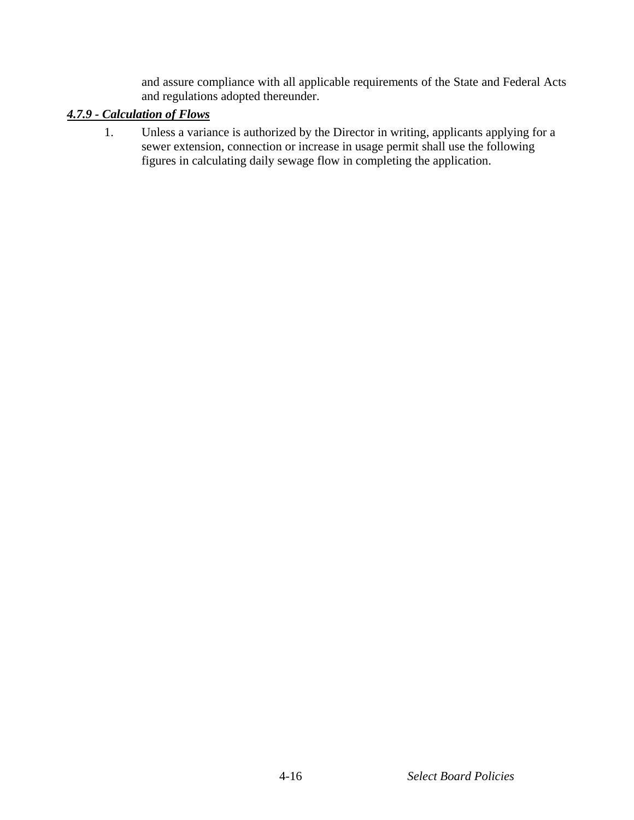and assure compliance with all applicable requirements of the State and Federal Acts and regulations adopted thereunder.

### *4.7.9 - Calculation of Flows*

1. Unless a variance is authorized by the Director in writing, applicants applying for a sewer extension, connection or increase in usage permit shall use the following figures in calculating daily sewage flow in completing the application.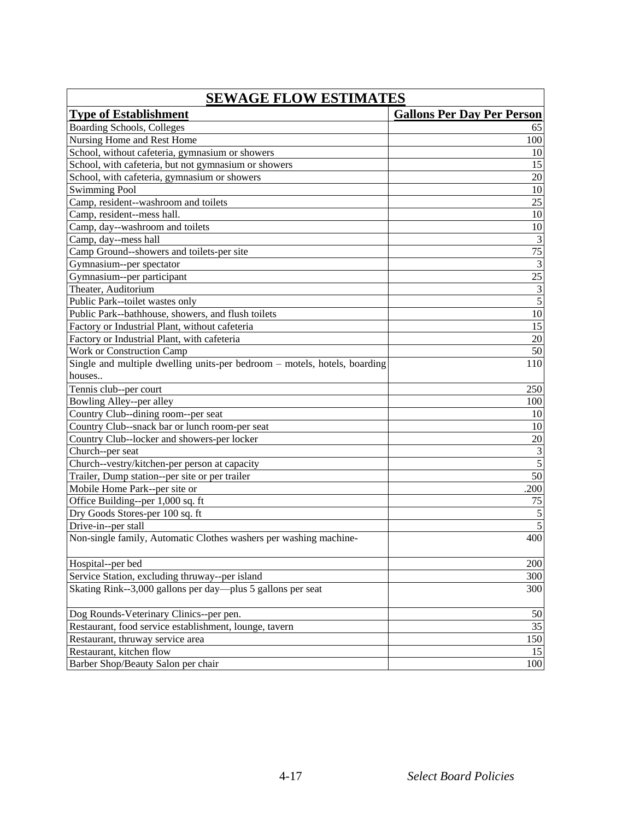| <b>SEWAGE FLOW ESTIMATES</b>                                              |                                   |  |
|---------------------------------------------------------------------------|-----------------------------------|--|
| <b>Type of Establishment</b>                                              | <b>Gallons Per Day Per Person</b> |  |
| Boarding Schools, Colleges                                                | 65                                |  |
| Nursing Home and Rest Home                                                | 100                               |  |
| School, without cafeteria, gymnasium or showers                           | 10                                |  |
| School, with cafeteria, but not gymnasium or showers                      | 15                                |  |
| School, with cafeteria, gymnasium or showers                              | 20                                |  |
| <b>Swimming Pool</b>                                                      | 10                                |  |
| Camp, resident--washroom and toilets                                      | 25                                |  |
| Camp, resident--mess hall.                                                | $10\,$                            |  |
| Camp, day--washroom and toilets                                           | $10\,$                            |  |
| Camp, day--mess hall                                                      | $\ensuremath{\mathfrak{Z}}$       |  |
| Camp Ground--showers and toilets-per site                                 | 75                                |  |
| Gymnasium--per spectator                                                  | $\overline{\mathbf{3}}$           |  |
| Gymnasium--per participant                                                | $\overline{25}$                   |  |
| Theater, Auditorium                                                       | $\frac{3}{5}$                     |  |
| Public Park--toilet wastes only                                           |                                   |  |
| Public Park--bathhouse, showers, and flush toilets                        | $\overline{10}$                   |  |
| Factory or Industrial Plant, without cafeteria                            | 15                                |  |
| Factory or Industrial Plant, with cafeteria                               | 20                                |  |
| <b>Work or Construction Camp</b>                                          | 50                                |  |
| Single and multiple dwelling units-per bedroom – motels, hotels, boarding | 110                               |  |
| houses                                                                    |                                   |  |
| Tennis club--per court                                                    | 250                               |  |
| Bowling Alley--per alley                                                  | 100                               |  |
| Country Club--dining room--per seat                                       | 10                                |  |
| Country Club--snack bar or lunch room-per seat                            | 10                                |  |
| Country Club--locker and showers-per locker                               | 20                                |  |
| Church--per seat                                                          | $\overline{\mathbf{3}}$           |  |
| Church--vestry/kitchen-per person at capacity                             | $\overline{5}$                    |  |
| Trailer, Dump station--per site or per trailer                            | 50                                |  |
| Mobile Home Park--per site or                                             | .200                              |  |
| Office Building--per 1,000 sq. ft                                         | 75                                |  |
| Dry Goods Stores-per 100 sq. ft                                           | $\sqrt{5}$                        |  |
| Drive-in--per stall                                                       | 5                                 |  |
| Non-single family, Automatic Clothes washers per washing machine-         | 400                               |  |
| Hospital--per bed                                                         | 200                               |  |
| Service Station, excluding thruway--per island                            | 300                               |  |
| Skating Rink--3,000 gallons per day—plus 5 gallons per seat               | 300                               |  |
| Dog Rounds-Veterinary Clinics--per pen.                                   | 50                                |  |
| Restaurant, food service establishment, lounge, tavern                    | 35                                |  |
| Restaurant, thruway service area                                          | 150                               |  |
| Restaurant, kitchen flow                                                  | 15                                |  |
| Barber Shop/Beauty Salon per chair                                        | 100                               |  |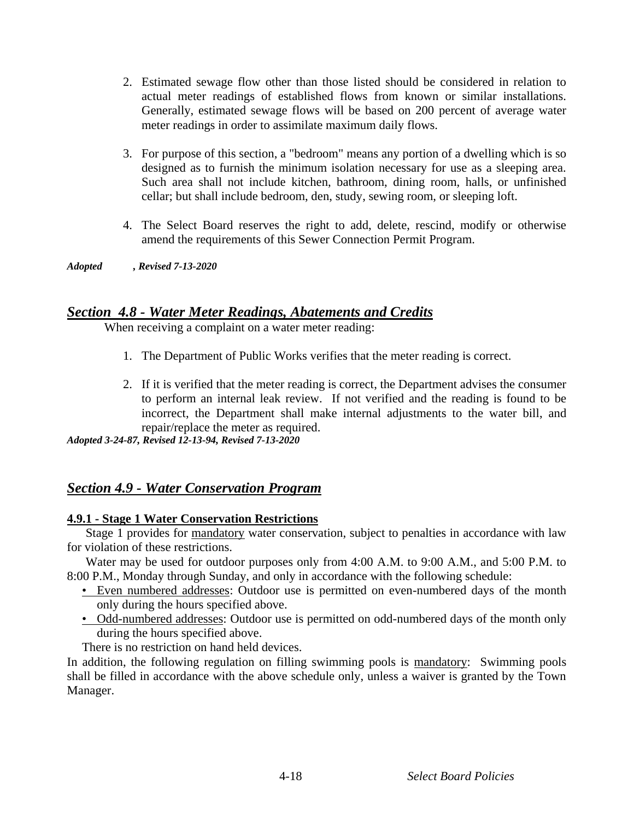- 2. Estimated sewage flow other than those listed should be considered in relation to actual meter readings of established flows from known or similar installations. Generally, estimated sewage flows will be based on 200 percent of average water meter readings in order to assimilate maximum daily flows.
- 3. For purpose of this section, a "bedroom" means any portion of a dwelling which is so designed as to furnish the minimum isolation necessary for use as a sleeping area. Such area shall not include kitchen, bathroom, dining room, halls, or unfinished cellar; but shall include bedroom, den, study, sewing room, or sleeping loft.
- 4. The Select Board reserves the right to add, delete, rescind, modify or otherwise amend the requirements of this Sewer Connection Permit Program.

*Adopted , Revised 7-13-2020*

### *Section 4.8 - Water Meter Readings, Abatements and Credits*

When receiving a complaint on a water meter reading:

- 1. The Department of Public Works verifies that the meter reading is correct.
- 2. If it is verified that the meter reading is correct, the Department advises the consumer to perform an internal leak review. If not verified and the reading is found to be incorrect, the Department shall make internal adjustments to the water bill, and repair/replace the meter as required.

*Adopted 3-24-87, Revised 12-13-94, Revised 7-13-2020*

### *Section 4.9 - Water Conservation Program*

### **4.9.1 - Stage 1 Water Conservation Restrictions**

Stage 1 provides for mandatory water conservation, subject to penalties in accordance with law for violation of these restrictions.

Water may be used for outdoor purposes only from 4:00 A.M. to 9:00 A.M., and 5:00 P.M. to 8:00 P.M., Monday through Sunday, and only in accordance with the following schedule:

- Even numbered addresses: Outdoor use is permitted on even-numbered days of the month only during the hours specified above.
- Odd-numbered addresses: Outdoor use is permitted on odd-numbered days of the month only during the hours specified above.

There is no restriction on hand held devices.

In addition, the following regulation on filling swimming pools is mandatory: Swimming pools shall be filled in accordance with the above schedule only, unless a waiver is granted by the Town Manager.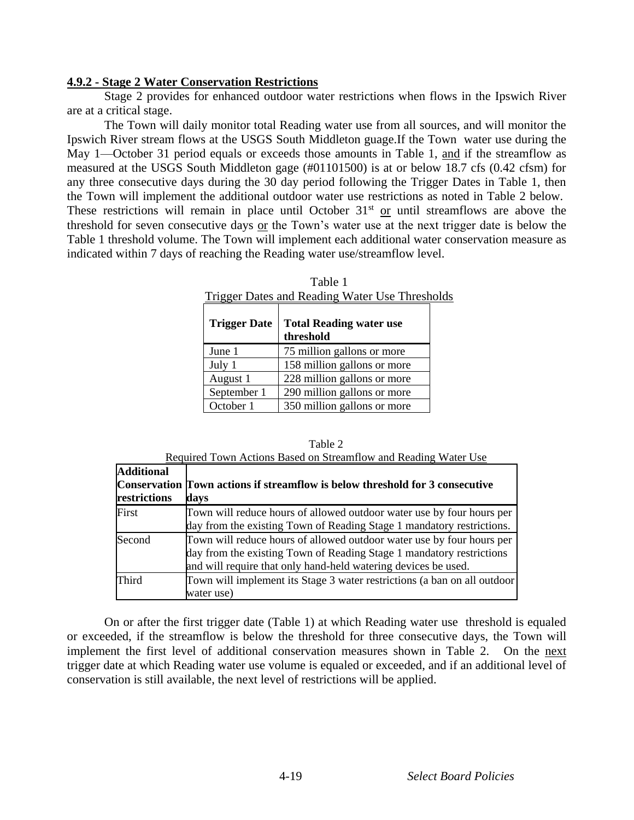#### **4.9.2 - Stage 2 Water Conservation Restrictions**

Stage 2 provides for enhanced outdoor water restrictions when flows in the Ipswich River are at a critical stage.

The Town will daily monitor total Reading water use from all sources, and will monitor the Ipswich River stream flows at the USGS South Middleton guage.If the Town water use during the May 1—October 31 period equals or exceeds those amounts in Table 1, and if the streamflow as measured at the USGS South Middleton gage (#01101500) is at or below 18.7 cfs (0.42 cfsm) for any three consecutive days during the 30 day period following the Trigger Dates in Table 1, then the Town will implement the additional outdoor water use restrictions as noted in Table 2 below. These restrictions will remain in place until October  $31<sup>st</sup>$  or until streamflows are above the threshold for seven consecutive days  $or$  the Town's water use at the next trigger date is below the Table 1 threshold volume. The Town will implement each additional water conservation measure as indicated within 7 days of reaching the Reading water use/streamflow level.

| <b>Trigger Dates and Reading Water Use Thresho</b> |                                             |  |
|----------------------------------------------------|---------------------------------------------|--|
| <b>Trigger Date</b>                                | <b>Total Reading water use</b><br>threshold |  |
| June 1                                             | 75 million gallons or more                  |  |
| July 1                                             | 158 million gallons or more                 |  |
| August 1                                           | 228 million gallons or more                 |  |
| September 1                                        | 290 million gallons or more                 |  |
| October 1                                          | 350 million gallons or more                 |  |

Table 1 Trigger Dates and Reading Water Use Thresholds

|                   | Table 2                                                         |
|-------------------|-----------------------------------------------------------------|
|                   | Required Town Actions Based on Streamflow and Reading Water Use |
| <b>Additional</b> |                                                                 |

| жичнилаг<br>restrictions | <b>Conservation Town actions if streamflow is below threshold for 3 consecutive</b><br>days                                                                                                                     |
|--------------------------|-----------------------------------------------------------------------------------------------------------------------------------------------------------------------------------------------------------------|
| First                    | Town will reduce hours of allowed outdoor water use by four hours per<br>day from the existing Town of Reading Stage 1 mandatory restrictions.                                                                  |
| Second                   | Town will reduce hours of allowed outdoor water use by four hours per<br>day from the existing Town of Reading Stage 1 mandatory restrictions<br>and will require that only hand-held watering devices be used. |
| Third                    | Town will implement its Stage 3 water restrictions (a ban on all outdoor<br>water use)                                                                                                                          |

On or after the first trigger date (Table 1) at which Reading water use threshold is equaled or exceeded, if the streamflow is below the threshold for three consecutive days, the Town will implement the first level of additional conservation measures shown in Table 2. On the next trigger date at which Reading water use volume is equaled or exceeded, and if an additional level of conservation is still available, the next level of restrictions will be applied.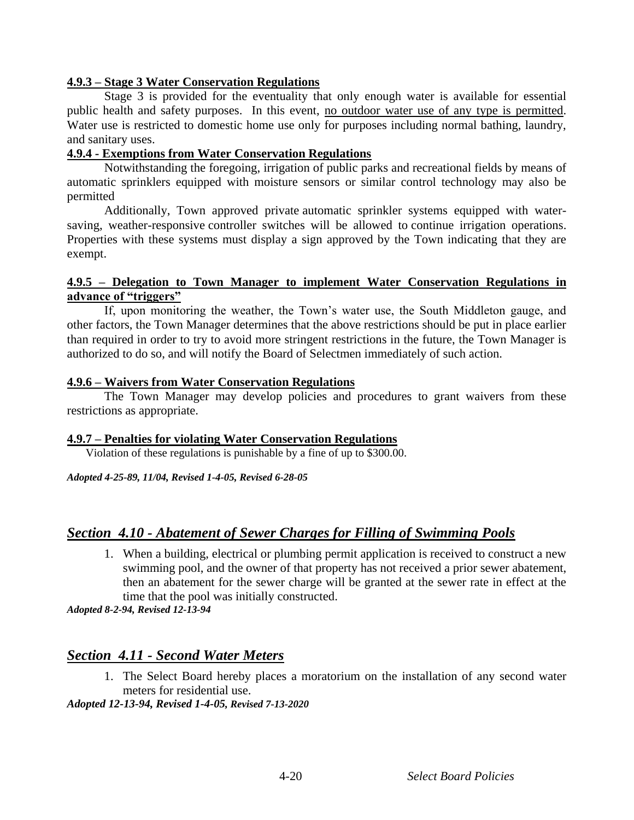#### **4.9.3 – Stage 3 Water Conservation Regulations**

Stage 3 is provided for the eventuality that only enough water is available for essential public health and safety purposes. In this event, no outdoor water use of any type is permitted. Water use is restricted to domestic home use only for purposes including normal bathing, laundry, and sanitary uses.

#### **4.9.4 - Exemptions from Water Conservation Regulations**

Notwithstanding the foregoing, irrigation of public parks and recreational fields by means of automatic sprinklers equipped with moisture sensors or similar control technology may also be permitted

Additionally, Town approved private automatic sprinkler systems equipped with watersaving, weather-responsive controller switches will be allowed to continue irrigation operations. Properties with these systems must display a sign approved by the Town indicating that they are exempt.

#### **4.9.5 – Delegation to Town Manager to implement Water Conservation Regulations in advance of "triggers"**

If, upon monitoring the weather, the Town's water use, the South Middleton gauge, and other factors, the Town Manager determines that the above restrictions should be put in place earlier than required in order to try to avoid more stringent restrictions in the future, the Town Manager is authorized to do so, and will notify the Board of Selectmen immediately of such action.

#### **4.9.6 – Waivers from Water Conservation Regulations**

The Town Manager may develop policies and procedures to grant waivers from these restrictions as appropriate.

#### **4.9.7 – Penalties for violating Water Conservation Regulations**

Violation of these regulations is punishable by a fine of up to \$300.00.

*Adopted 4-25-89, 11/04, Revised 1-4-05, Revised 6-28-05*

### *Section 4.10 - Abatement of Sewer Charges for Filling of Swimming Pools*

1. When a building, electrical or plumbing permit application is received to construct a new swimming pool, and the owner of that property has not received a prior sewer abatement, then an abatement for the sewer charge will be granted at the sewer rate in effect at the time that the pool was initially constructed.

*Adopted 8-2-94, Revised 12-13-94*

### *Section 4.11 - Second Water Meters*

1. The Select Board hereby places a moratorium on the installation of any second water meters for residential use.

*Adopted 12-13-94, Revised 1-4-05, Revised 7-13-2020*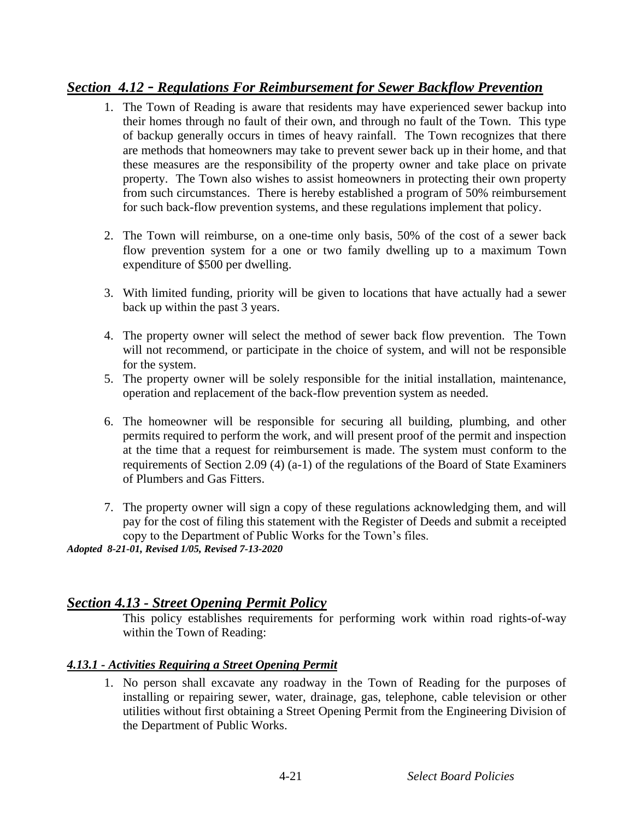# *Section 4.12 - Regulations For Reimbursement for Sewer Backflow Prevention*

- 1. The Town of Reading is aware that residents may have experienced sewer backup into their homes through no fault of their own, and through no fault of the Town. This type of backup generally occurs in times of heavy rainfall. The Town recognizes that there are methods that homeowners may take to prevent sewer back up in their home, and that these measures are the responsibility of the property owner and take place on private property. The Town also wishes to assist homeowners in protecting their own property from such circumstances. There is hereby established a program of 50% reimbursement for such back-flow prevention systems, and these regulations implement that policy.
- 2. The Town will reimburse, on a one-time only basis, 50% of the cost of a sewer back flow prevention system for a one or two family dwelling up to a maximum Town expenditure of \$500 per dwelling.
- 3. With limited funding, priority will be given to locations that have actually had a sewer back up within the past 3 years.
- 4. The property owner will select the method of sewer back flow prevention. The Town will not recommend, or participate in the choice of system, and will not be responsible for the system.
- 5. The property owner will be solely responsible for the initial installation, maintenance, operation and replacement of the back-flow prevention system as needed.
- 6. The homeowner will be responsible for securing all building, plumbing, and other permits required to perform the work, and will present proof of the permit and inspection at the time that a request for reimbursement is made. The system must conform to the requirements of Section 2.09 (4) (a-1) of the regulations of the Board of State Examiners of Plumbers and Gas Fitters.
- 7. The property owner will sign a copy of these regulations acknowledging them, and will pay for the cost of filing this statement with the Register of Deeds and submit a receipted copy to the Department of Public Works for the Town's files.

*Adopted 8-21-01, Revised 1/05, Revised 7-13-2020*

### *Section 4.13 - Street Opening Permit Policy*

This policy establishes requirements for performing work within road rights-of-way within the Town of Reading:

### *4.13.1 - Activities Requiring a Street Opening Permit*

1. No person shall excavate any roadway in the Town of Reading for the purposes of installing or repairing sewer, water, drainage, gas, telephone, cable television or other utilities without first obtaining a Street Opening Permit from the Engineering Division of the Department of Public Works.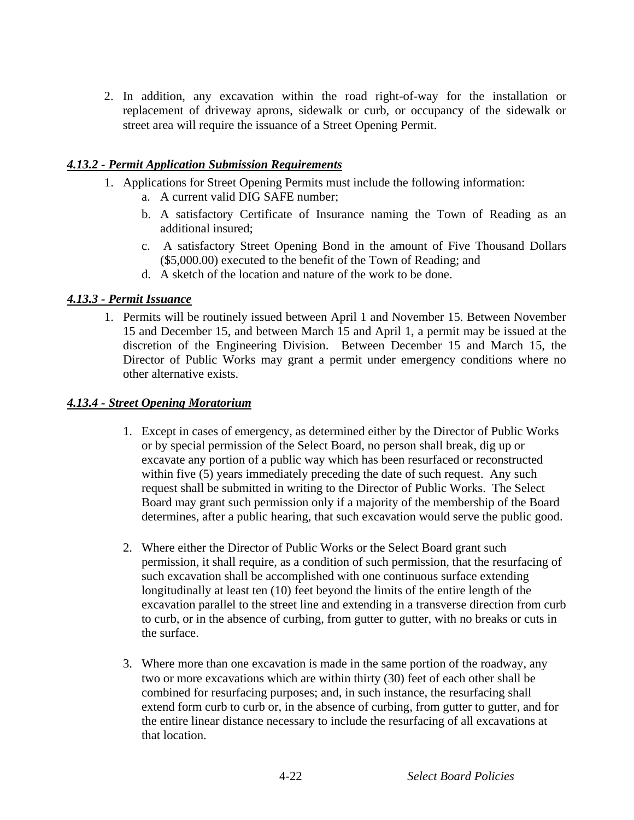2. In addition, any excavation within the road right-of-way for the installation or replacement of driveway aprons, sidewalk or curb, or occupancy of the sidewalk or street area will require the issuance of a Street Opening Permit.

#### *4.13.2 - Permit Application Submission Requirements*

- 1. Applications for Street Opening Permits must include the following information:
	- a. A current valid DIG SAFE number;
	- b. A satisfactory Certificate of Insurance naming the Town of Reading as an additional insured;
	- c. A satisfactory Street Opening Bond in the amount of Five Thousand Dollars (\$5,000.00) executed to the benefit of the Town of Reading; and
	- d. A sketch of the location and nature of the work to be done.

#### *4.13.3 - Permit Issuance*

1. Permits will be routinely issued between April 1 and November 15. Between November 15 and December 15, and between March 15 and April 1, a permit may be issued at the discretion of the Engineering Division. Between December 15 and March 15, the Director of Public Works may grant a permit under emergency conditions where no other alternative exists.

#### *4.13.4 - Street Opening Moratorium*

- 1. Except in cases of emergency, as determined either by the Director of Public Works or by special permission of the Select Board, no person shall break, dig up or excavate any portion of a public way which has been resurfaced or reconstructed within five (5) years immediately preceding the date of such request. Any such request shall be submitted in writing to the Director of Public Works. The Select Board may grant such permission only if a majority of the membership of the Board determines, after a public hearing, that such excavation would serve the public good.
- 2. Where either the Director of Public Works or the Select Board grant such permission, it shall require, as a condition of such permission, that the resurfacing of such excavation shall be accomplished with one continuous surface extending longitudinally at least ten (10) feet beyond the limits of the entire length of the excavation parallel to the street line and extending in a transverse direction from curb to curb, or in the absence of curbing, from gutter to gutter, with no breaks or cuts in the surface.
- 3. Where more than one excavation is made in the same portion of the roadway, any two or more excavations which are within thirty (30) feet of each other shall be combined for resurfacing purposes; and, in such instance, the resurfacing shall extend form curb to curb or, in the absence of curbing, from gutter to gutter, and for the entire linear distance necessary to include the resurfacing of all excavations at that location.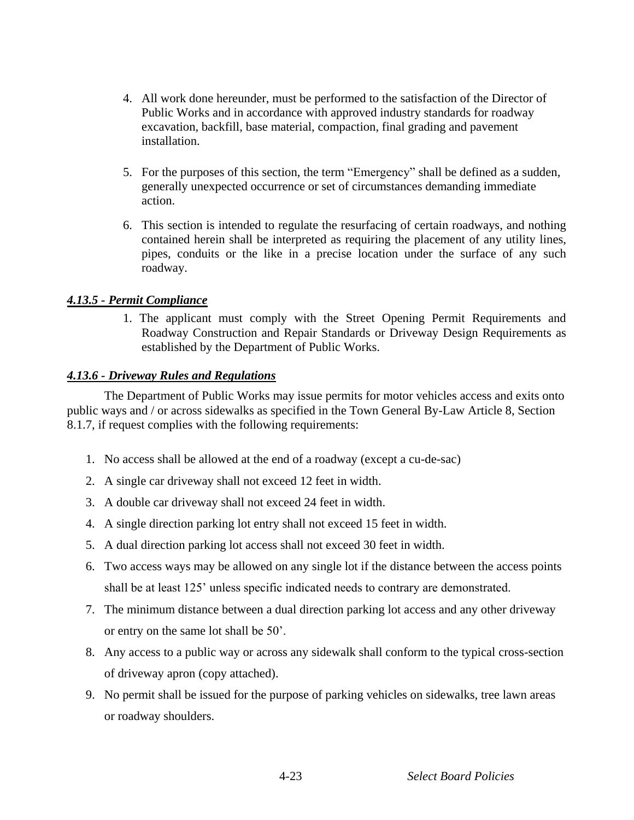- 4. All work done hereunder, must be performed to the satisfaction of the Director of Public Works and in accordance with approved industry standards for roadway excavation, backfill, base material, compaction, final grading and pavement installation.
- 5. For the purposes of this section, the term "Emergency" shall be defined as a sudden, generally unexpected occurrence or set of circumstances demanding immediate action.
- 6. This section is intended to regulate the resurfacing of certain roadways, and nothing contained herein shall be interpreted as requiring the placement of any utility lines, pipes, conduits or the like in a precise location under the surface of any such roadway.

#### *4.13.5 - Permit Compliance*

1. The applicant must comply with the Street Opening Permit Requirements and Roadway Construction and Repair Standards or Driveway Design Requirements as established by the Department of Public Works.

#### *4.13.6 - Driveway Rules and Regulations*

The Department of Public Works may issue permits for motor vehicles access and exits onto public ways and / or across sidewalks as specified in the Town General By-Law Article 8, Section 8.1.7, if request complies with the following requirements:

- 1. No access shall be allowed at the end of a roadway (except a cu-de-sac)
- 2. A single car driveway shall not exceed 12 feet in width.
- 3. A double car driveway shall not exceed 24 feet in width.
- 4. A single direction parking lot entry shall not exceed 15 feet in width.
- 5. A dual direction parking lot access shall not exceed 30 feet in width.
- 6. Two access ways may be allowed on any single lot if the distance between the access points shall be at least 125' unless specific indicated needs to contrary are demonstrated.
- 7. The minimum distance between a dual direction parking lot access and any other driveway or entry on the same lot shall be 50'.
- 8. Any access to a public way or across any sidewalk shall conform to the typical cross-section of driveway apron (copy attached).
- 9. No permit shall be issued for the purpose of parking vehicles on sidewalks, tree lawn areas or roadway shoulders.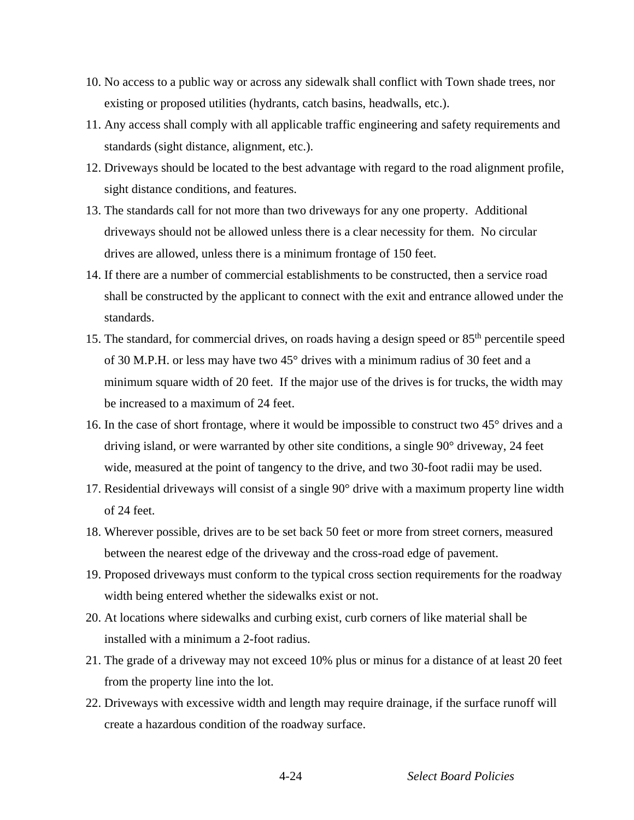- 10. No access to a public way or across any sidewalk shall conflict with Town shade trees, nor existing or proposed utilities (hydrants, catch basins, headwalls, etc.).
- 11. Any access shall comply with all applicable traffic engineering and safety requirements and standards (sight distance, alignment, etc.).
- 12. Driveways should be located to the best advantage with regard to the road alignment profile, sight distance conditions, and features.
- 13. The standards call for not more than two driveways for any one property. Additional driveways should not be allowed unless there is a clear necessity for them. No circular drives are allowed, unless there is a minimum frontage of 150 feet.
- 14. If there are a number of commercial establishments to be constructed, then a service road shall be constructed by the applicant to connect with the exit and entrance allowed under the standards.
- 15. The standard, for commercial drives, on roads having a design speed or 85<sup>th</sup> percentile speed of 30 M.P.H. or less may have two 45° drives with a minimum radius of 30 feet and a minimum square width of 20 feet. If the major use of the drives is for trucks, the width may be increased to a maximum of 24 feet.
- 16. In the case of short frontage, where it would be impossible to construct two 45° drives and a driving island, or were warranted by other site conditions, a single 90° driveway, 24 feet wide, measured at the point of tangency to the drive, and two 30-foot radii may be used.
- 17. Residential driveways will consist of a single 90° drive with a maximum property line width of 24 feet.
- 18. Wherever possible, drives are to be set back 50 feet or more from street corners, measured between the nearest edge of the driveway and the cross-road edge of pavement.
- 19. Proposed driveways must conform to the typical cross section requirements for the roadway width being entered whether the sidewalks exist or not.
- 20. At locations where sidewalks and curbing exist, curb corners of like material shall be installed with a minimum a 2-foot radius.
- 21. The grade of a driveway may not exceed 10% plus or minus for a distance of at least 20 feet from the property line into the lot.
- 22. Driveways with excessive width and length may require drainage, if the surface runoff will create a hazardous condition of the roadway surface.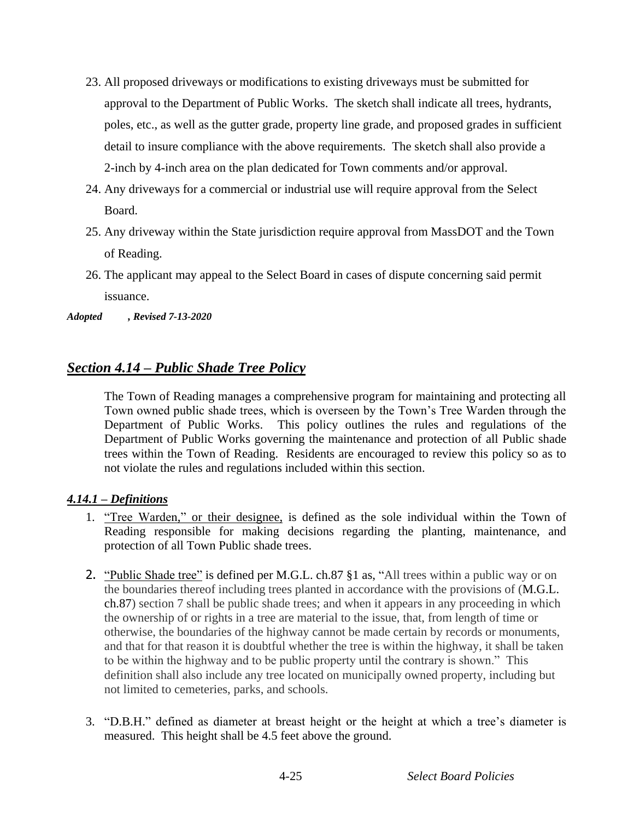- 23. All proposed driveways or modifications to existing driveways must be submitted for approval to the Department of Public Works. The sketch shall indicate all trees, hydrants, poles, etc., as well as the gutter grade, property line grade, and proposed grades in sufficient detail to insure compliance with the above requirements. The sketch shall also provide a 2-inch by 4-inch area on the plan dedicated for Town comments and/or approval.
- 24. Any driveways for a commercial or industrial use will require approval from the Select Board.
- 25. Any driveway within the State jurisdiction require approval from MassDOT and the Town of Reading.
- 26. The applicant may appeal to the Select Board in cases of dispute concerning said permit issuance.

*Adopted , Revised 7-13-2020*

# *Section 4.14 – Public Shade Tree Policy*

The Town of Reading manages a comprehensive program for maintaining and protecting all Town owned public shade trees, which is overseen by the Town's Tree Warden through the Department of Public Works. This policy outlines the rules and regulations of the Department of Public Works governing the maintenance and protection of all Public shade trees within the Town of Reading. Residents are encouraged to review this policy so as to not violate the rules and regulations included within this section.

### *4.14.1 – Definitions*

- 1. "Tree Warden," or their designee, is defined as the sole individual within the Town of Reading responsible for making decisions regarding the planting, maintenance, and protection of all Town Public shade trees.
- 2. "Public Shade tree" is defined per M.G.L. ch.87 §1 as, "All trees within a public way or on the boundaries thereof including trees planted in accordance with the provisions of (M.G.L. ch.87) section 7 shall be public shade trees; and when it appears in any proceeding in which the ownership of or rights in a tree are material to the issue, that, from length of time or otherwise, the boundaries of the highway cannot be made certain by records or monuments, and that for that reason it is doubtful whether the tree is within the highway, it shall be taken to be within the highway and to be public property until the contrary is shown." This definition shall also include any tree located on municipally owned property, including but not limited to cemeteries, parks, and schools.
- 3. "D.B.H." defined as diameter at breast height or the height at which a tree's diameter is measured. This height shall be 4.5 feet above the ground.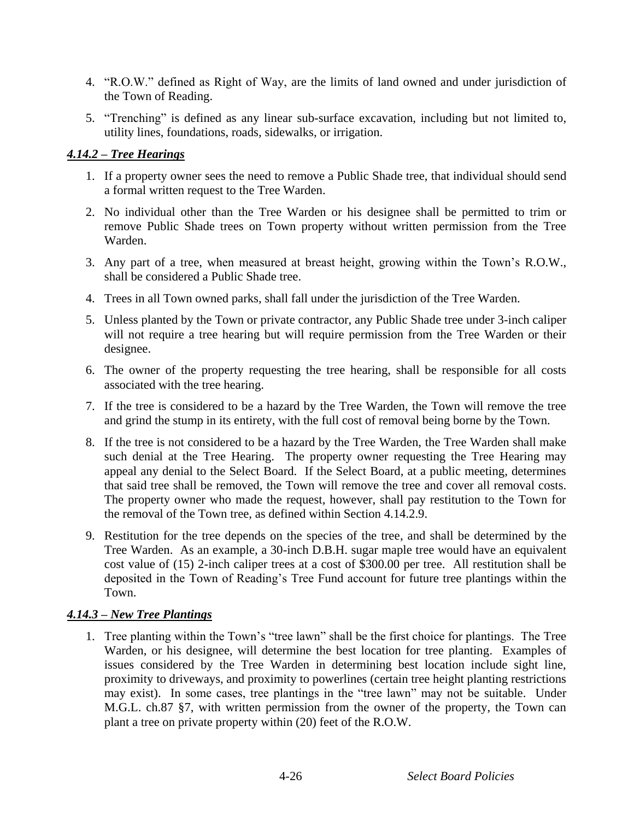- 4. "R.O.W." defined as Right of Way, are the limits of land owned and under jurisdiction of the Town of Reading.
- 5. "Trenching" is defined as any linear sub-surface excavation, including but not limited to, utility lines, foundations, roads, sidewalks, or irrigation.

### *4.14.2 – Tree Hearings*

- 1. If a property owner sees the need to remove a Public Shade tree, that individual should send a formal written request to the Tree Warden.
- 2. No individual other than the Tree Warden or his designee shall be permitted to trim or remove Public Shade trees on Town property without written permission from the Tree Warden.
- 3. Any part of a tree, when measured at breast height, growing within the Town's R.O.W., shall be considered a Public Shade tree.
- 4. Trees in all Town owned parks, shall fall under the jurisdiction of the Tree Warden.
- 5. Unless planted by the Town or private contractor, any Public Shade tree under 3-inch caliper will not require a tree hearing but will require permission from the Tree Warden or their designee.
- 6. The owner of the property requesting the tree hearing, shall be responsible for all costs associated with the tree hearing.
- 7. If the tree is considered to be a hazard by the Tree Warden, the Town will remove the tree and grind the stump in its entirety, with the full cost of removal being borne by the Town.
- 8. If the tree is not considered to be a hazard by the Tree Warden, the Tree Warden shall make such denial at the Tree Hearing. The property owner requesting the Tree Hearing may appeal any denial to the Select Board. If the Select Board, at a public meeting, determines that said tree shall be removed, the Town will remove the tree and cover all removal costs. The property owner who made the request, however, shall pay restitution to the Town for the removal of the Town tree, as defined within Section 4.14.2.9.
- 9. Restitution for the tree depends on the species of the tree, and shall be determined by the Tree Warden. As an example, a 30-inch D.B.H. sugar maple tree would have an equivalent cost value of (15) 2-inch caliper trees at a cost of \$300.00 per tree. All restitution shall be deposited in the Town of Reading's Tree Fund account for future tree plantings within the Town.

### *4.14.3 – New Tree Plantings*

1. Tree planting within the Town's "tree lawn" shall be the first choice for plantings. The Tree Warden, or his designee, will determine the best location for tree planting. Examples of issues considered by the Tree Warden in determining best location include sight line, proximity to driveways, and proximity to powerlines (certain tree height planting restrictions may exist). In some cases, tree plantings in the "tree lawn" may not be suitable. Under M.G.L. ch.87 §7, with written permission from the owner of the property, the Town can plant a tree on private property within (20) feet of the R.O.W.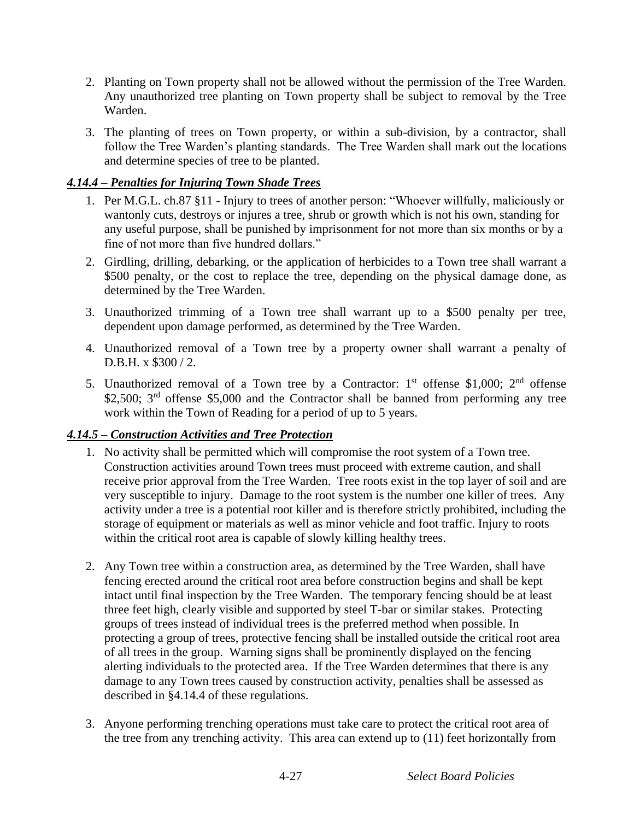- 2. Planting on Town property shall not be allowed without the permission of the Tree Warden. Any unauthorized tree planting on Town property shall be subject to removal by the Tree Warden.
- 3. The planting of trees on Town property, or within a sub-division, by a contractor, shall follow the Tree Warden's planting standards. The Tree Warden shall mark out the locations and determine species of tree to be planted.

### *4.14.4 – Penalties for Injuring Town Shade Trees*

- 1. Per M.G.L. ch.87 §11 Injury to trees of another person: "Whoever willfully, maliciously or wantonly cuts, destroys or injures a tree, shrub or growth which is not his own, standing for any useful purpose, shall be punished by imprisonment for not more than six months or by a fine of not more than five hundred dollars."
- 2. Girdling, drilling, debarking, or the application of herbicides to a Town tree shall warrant a \$500 penalty, or the cost to replace the tree, depending on the physical damage done, as determined by the Tree Warden.
- 3. Unauthorized trimming of a Town tree shall warrant up to a \$500 penalty per tree, dependent upon damage performed, as determined by the Tree Warden.
- 4. Unauthorized removal of a Town tree by a property owner shall warrant a penalty of D.B.H. x \$300 / 2.
- 5. Unauthorized removal of a Town tree by a Contractor:  $1<sup>st</sup>$  offense \$1,000;  $2<sup>nd</sup>$  offense \$2,500; 3<sup>rd</sup> offense \$5,000 and the Contractor shall be banned from performing any tree work within the Town of Reading for a period of up to 5 years.

### *4.14.5 – Construction Activities and Tree Protection*

- 1. No activity shall be permitted which will compromise the root system of a Town tree. Construction activities around Town trees must proceed with extreme caution, and shall receive prior approval from the Tree Warden. Tree roots exist in the top layer of soil and are very susceptible to injury. Damage to the root system is the number one killer of trees. Any activity under a tree is a potential root killer and is therefore strictly prohibited, including the storage of equipment or materials as well as minor vehicle and foot traffic. Injury to roots within the critical root area is capable of slowly killing healthy trees.
- 2. Any Town tree within a construction area, as determined by the Tree Warden, shall have fencing erected around the critical root area before construction begins and shall be kept intact until final inspection by the Tree Warden. The temporary fencing should be at least three feet high, clearly visible and supported by steel T-bar or similar stakes. Protecting groups of trees instead of individual trees is the preferred method when possible. In protecting a group of trees, protective fencing shall be installed outside the critical root area of all trees in the group. Warning signs shall be prominently displayed on the fencing alerting individuals to the protected area. If the Tree Warden determines that there is any damage to any Town trees caused by construction activity, penalties shall be assessed as described in §4.14.4 of these regulations.
- 3. Anyone performing trenching operations must take care to protect the critical root area of the tree from any trenching activity. This area can extend up to (11) feet horizontally from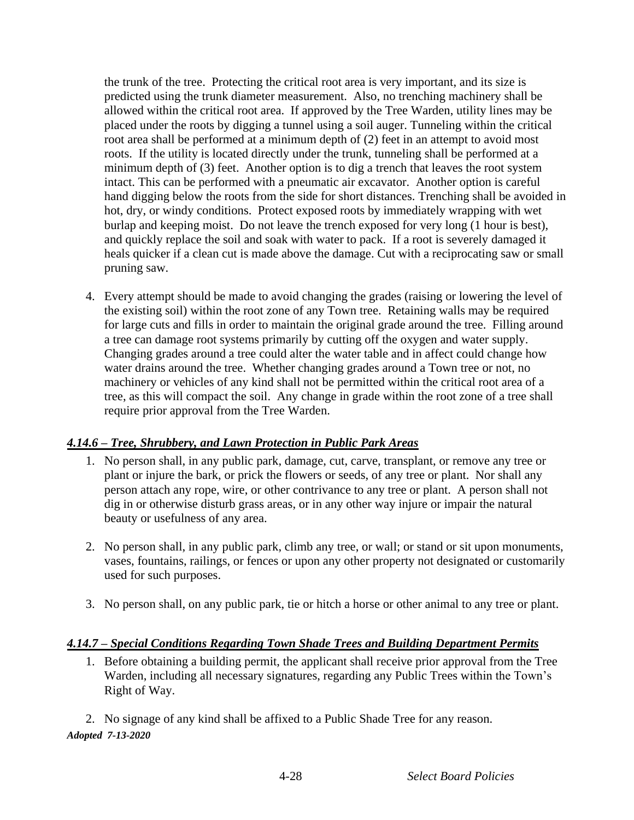the trunk of the tree. Protecting the critical root area is very important, and its size is predicted using the trunk diameter measurement. Also, no trenching machinery shall be allowed within the critical root area. If approved by the Tree Warden, utility lines may be placed under the roots by digging a tunnel using a soil auger. Tunneling within the critical root area shall be performed at a minimum depth of (2) feet in an attempt to avoid most roots. If the utility is located directly under the trunk, tunneling shall be performed at a minimum depth of (3) feet. Another option is to dig a trench that leaves the root system intact. This can be performed with a pneumatic air excavator. Another option is careful hand digging below the roots from the side for short distances. Trenching shall be avoided in hot, dry, or windy conditions. Protect exposed roots by immediately wrapping with wet burlap and keeping moist. Do not leave the trench exposed for very long (1 hour is best), and quickly replace the soil and soak with water to pack. If a root is severely damaged it heals quicker if a clean cut is made above the damage. Cut with a reciprocating saw or small pruning saw.

4. Every attempt should be made to avoid changing the grades (raising or lowering the level of the existing soil) within the root zone of any Town tree. Retaining walls may be required for large cuts and fills in order to maintain the original grade around the tree. Filling around a tree can damage root systems primarily by cutting off the oxygen and water supply. Changing grades around a tree could alter the water table and in affect could change how water drains around the tree. Whether changing grades around a Town tree or not, no machinery or vehicles of any kind shall not be permitted within the critical root area of a tree, as this will compact the soil. Any change in grade within the root zone of a tree shall require prior approval from the Tree Warden.

### *4.14.6 – Tree, Shrubbery, and Lawn Protection in Public Park Areas*

- 1. No person shall, in any public park, damage, cut, carve, transplant, or remove any tree or plant or injure the bark, or prick the flowers or seeds, of any tree or plant. Nor shall any person attach any rope, wire, or other contrivance to any tree or plant. A person shall not dig in or otherwise disturb grass areas, or in any other way injure or impair the natural beauty or usefulness of any area.
- 2. No person shall, in any public park, climb any tree, or wall; or stand or sit upon monuments, vases, fountains, railings, or fences or upon any other property not designated or customarily used for such purposes.
- 3. No person shall, on any public park, tie or hitch a horse or other animal to any tree or plant.

### *4.14.7 – Special Conditions Regarding Town Shade Trees and Building Department Permits*

1. Before obtaining a building permit, the applicant shall receive prior approval from the Tree Warden, including all necessary signatures, regarding any Public Trees within the Town's Right of Way.

2. No signage of any kind shall be affixed to a Public Shade Tree for any reason. *Adopted 7-13-2020*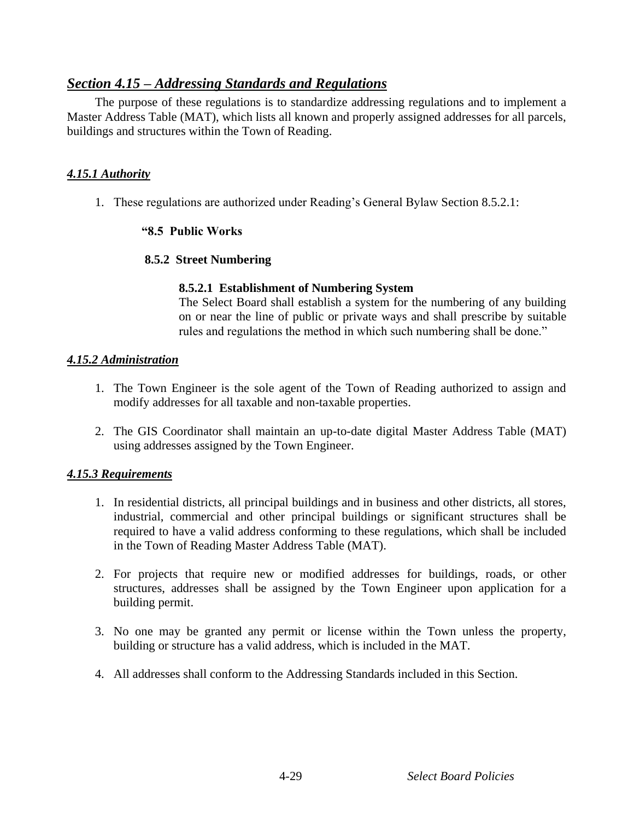### *Section 4.15 – Addressing Standards and Regulations*

The purpose of these regulations is to standardize addressing regulations and to implement a Master Address Table (MAT), which lists all known and properly assigned addresses for all parcels, buildings and structures within the Town of Reading.

### *4.15.1 Authority*

1. These regulations are authorized under Reading's General Bylaw Section 8.5.2.1:

### **"8.5 Public Works**

#### **8.5.2 Street Numbering**

#### **8.5.2.1 Establishment of Numbering System**

The Select Board shall establish a system for the numbering of any building on or near the line of public or private ways and shall prescribe by suitable rules and regulations the method in which such numbering shall be done."

#### *4.15.2 Administration*

- 1. The Town Engineer is the sole agent of the Town of Reading authorized to assign and modify addresses for all taxable and non-taxable properties.
- 2. The GIS Coordinator shall maintain an up-to-date digital Master Address Table (MAT) using addresses assigned by the Town Engineer.

### *4.15.3 Requirements*

- 1. In residential districts, all principal buildings and in business and other districts, all stores, industrial, commercial and other principal buildings or significant structures shall be required to have a valid address conforming to these regulations, which shall be included in the Town of Reading Master Address Table (MAT).
- 2. For projects that require new or modified addresses for buildings, roads, or other structures, addresses shall be assigned by the Town Engineer upon application for a building permit.
- 3. No one may be granted any permit or license within the Town unless the property, building or structure has a valid address, which is included in the MAT.
- 4. All addresses shall conform to the Addressing Standards included in this Section.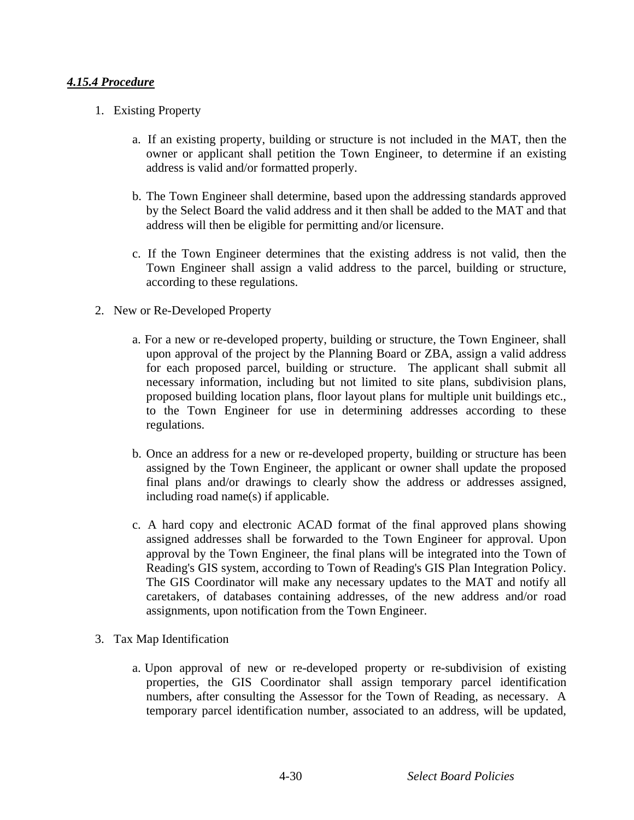### *4.15.4 Procedure*

- 1. Existing Property
	- a. If an existing property, building or structure is not included in the MAT, then the owner or applicant shall petition the Town Engineer, to determine if an existing address is valid and/or formatted properly.
	- b. The Town Engineer shall determine, based upon the addressing standards approved by the Select Board the valid address and it then shall be added to the MAT and that address will then be eligible for permitting and/or licensure.
	- c. If the Town Engineer determines that the existing address is not valid, then the Town Engineer shall assign a valid address to the parcel, building or structure, according to these regulations.
- 2. New or Re-Developed Property
	- a. For a new or re-developed property, building or structure, the Town Engineer, shall upon approval of the project by the Planning Board or ZBA, assign a valid address for each proposed parcel, building or structure. The applicant shall submit all necessary information, including but not limited to site plans, subdivision plans, proposed building location plans, floor layout plans for multiple unit buildings etc., to the Town Engineer for use in determining addresses according to these regulations.
	- b. Once an address for a new or re-developed property, building or structure has been assigned by the Town Engineer, the applicant or owner shall update the proposed final plans and/or drawings to clearly show the address or addresses assigned, including road name(s) if applicable.
	- c. A hard copy and electronic ACAD format of the final approved plans showing assigned addresses shall be forwarded to the Town Engineer for approval. Upon approval by the Town Engineer, the final plans will be integrated into the Town of Reading's GIS system, according to Town of Reading's GIS Plan Integration Policy. The GIS Coordinator will make any necessary updates to the MAT and notify all caretakers, of databases containing addresses, of the new address and/or road assignments, upon notification from the Town Engineer.
- 3. Tax Map Identification
	- a. Upon approval of new or re-developed property or re-subdivision of existing properties, the GIS Coordinator shall assign temporary parcel identification numbers, after consulting the Assessor for the Town of Reading, as necessary. A temporary parcel identification number, associated to an address, will be updated,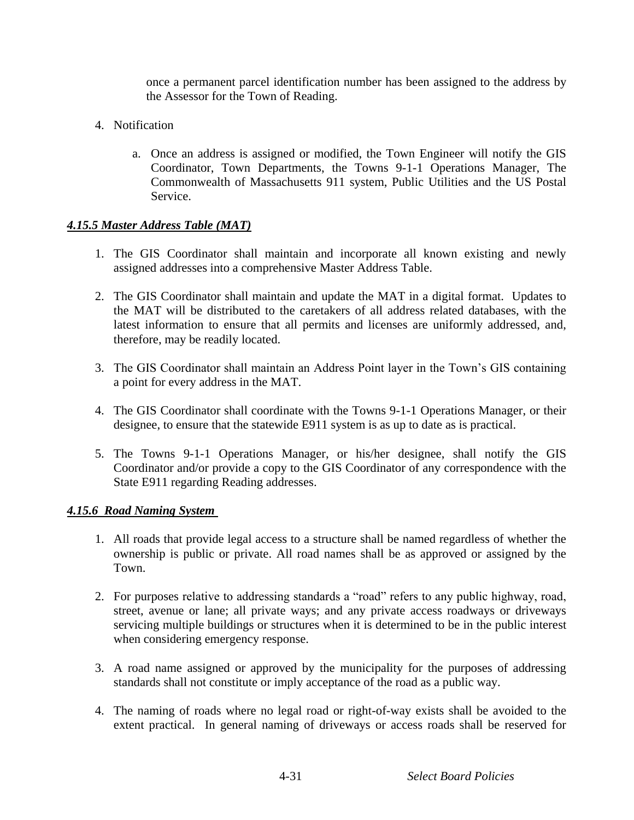once a permanent parcel identification number has been assigned to the address by the Assessor for the Town of Reading.

- 4. Notification
	- a. Once an address is assigned or modified, the Town Engineer will notify the GIS Coordinator, Town Departments, the Towns 9-1-1 Operations Manager, The Commonwealth of Massachusetts 911 system, Public Utilities and the US Postal Service.

#### *4.15.5 Master Address Table (MAT)*

- 1. The GIS Coordinator shall maintain and incorporate all known existing and newly assigned addresses into a comprehensive Master Address Table.
- 2. The GIS Coordinator shall maintain and update the MAT in a digital format. Updates to the MAT will be distributed to the caretakers of all address related databases, with the latest information to ensure that all permits and licenses are uniformly addressed, and, therefore, may be readily located.
- 3. The GIS Coordinator shall maintain an Address Point layer in the Town's GIS containing a point for every address in the MAT.
- 4. The GIS Coordinator shall coordinate with the Towns 9-1-1 Operations Manager, or their designee, to ensure that the statewide E911 system is as up to date as is practical.
- 5. The Towns 9-1-1 Operations Manager, or his/her designee, shall notify the GIS Coordinator and/or provide a copy to the GIS Coordinator of any correspondence with the State E911 regarding Reading addresses.

#### *4.15.6 Road Naming System*

- 1. All roads that provide legal access to a structure shall be named regardless of whether the ownership is public or private. All road names shall be as approved or assigned by the Town.
- 2. For purposes relative to addressing standards a "road" refers to any public highway, road, street, avenue or lane; all private ways; and any private access roadways or driveways servicing multiple buildings or structures when it is determined to be in the public interest when considering emergency response.
- 3. A road name assigned or approved by the municipality for the purposes of addressing standards shall not constitute or imply acceptance of the road as a public way.
- 4. The naming of roads where no legal road or right-of-way exists shall be avoided to the extent practical. In general naming of driveways or access roads shall be reserved for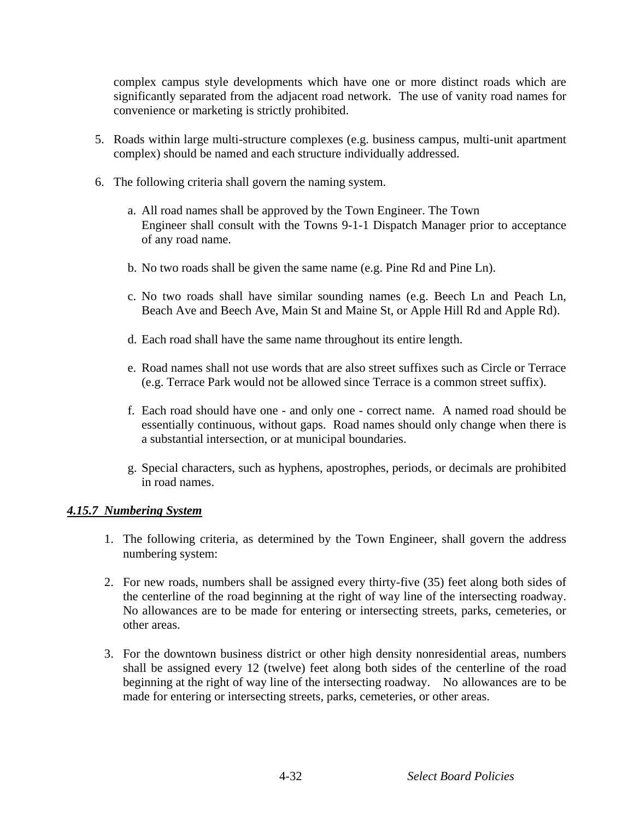complex campus style developments which have one or more distinct roads which are significantly separated from the adjacent road network. The use of vanity road names for convenience or marketing is strictly prohibited.

- 5. Roads within large multi-structure complexes (e.g. business campus, multi-unit apartment complex) should be named and each structure individually addressed.
- 6. The following criteria shall govern the naming system.
	- a. All road names shall be approved by the Town Engineer. The Town Engineer shall consult with the Towns 9-1-1 Dispatch Manager prior to acceptance of any road name.
	- b. No two roads shall be given the same name (e.g. Pine Rd and Pine Ln).
	- c. No two roads shall have similar sounding names (e.g. Beech Ln and Peach Ln, Beach Ave and Beech Ave, Main St and Maine St, or Apple Hill Rd and Apple Rd).
	- d. Each road shall have the same name throughout its entire length.
	- e. Road names shall not use words that are also street suffixes such as Circle or Terrace (e.g. Terrace Park would not be allowed since Terrace is a common street suffix).
	- f. Each road should have one and only one correct name. A named road should be essentially continuous, without gaps. Road names should only change when there is a substantial intersection, or at municipal boundaries.
	- g. Special characters, such as hyphens, apostrophes, periods, or decimals are prohibited in road names.

#### *4.15.7 Numbering System*

- 1. The following criteria, as determined by the Town Engineer, shall govern the address numbering system:
- 2. For new roads, numbers shall be assigned every thirty-five (35) feet along both sides of the centerline of the road beginning at the right of way line of the intersecting roadway. No allowances are to be made for entering or intersecting streets, parks, cemeteries, or other areas.
- 3. For the downtown business district or other high density nonresidential areas, numbers shall be assigned every 12 (twelve) feet along both sides of the centerline of the road beginning at the right of way line of the intersecting roadway. No allowances are to be made for entering or intersecting streets, parks, cemeteries, or other areas.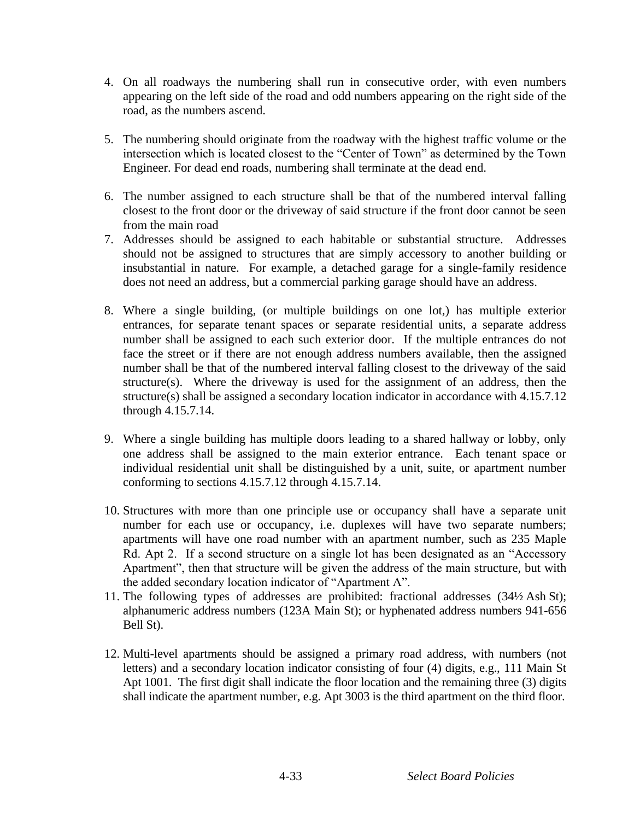- 4. On all roadways the numbering shall run in consecutive order, with even numbers appearing on the left side of the road and odd numbers appearing on the right side of the road, as the numbers ascend.
- 5. The numbering should originate from the roadway with the highest traffic volume or the intersection which is located closest to the "Center of Town" as determined by the Town Engineer. For dead end roads, numbering shall terminate at the dead end.
- 6. The number assigned to each structure shall be that of the numbered interval falling closest to the front door or the driveway of said structure if the front door cannot be seen from the main road
- 7. Addresses should be assigned to each habitable or substantial structure. Addresses should not be assigned to structures that are simply accessory to another building or insubstantial in nature. For example, a detached garage for a single-family residence does not need an address, but a commercial parking garage should have an address.
- 8. Where a single building, (or multiple buildings on one lot,) has multiple exterior entrances, for separate tenant spaces or separate residential units, a separate address number shall be assigned to each such exterior door. If the multiple entrances do not face the street or if there are not enough address numbers available, then the assigned number shall be that of the numbered interval falling closest to the driveway of the said structure(s). Where the driveway is used for the assignment of an address, then the structure(s) shall be assigned a secondary location indicator in accordance with 4.15.7.12 through 4.15.7.14.
- 9. Where a single building has multiple doors leading to a shared hallway or lobby, only one address shall be assigned to the main exterior entrance. Each tenant space or individual residential unit shall be distinguished by a unit, suite, or apartment number conforming to sections 4.15.7.12 through 4.15.7.14.
- 10. Structures with more than one principle use or occupancy shall have a separate unit number for each use or occupancy, i.e. duplexes will have two separate numbers; apartments will have one road number with an apartment number, such as 235 Maple Rd. Apt 2. If a second structure on a single lot has been designated as an "Accessory Apartment", then that structure will be given the address of the main structure, but with the added secondary location indicator of "Apartment A".
- 11. The following types of addresses are prohibited: fractional addresses (34½ Ash St); alphanumeric address numbers (123A Main St); or hyphenated address numbers 941-656 Bell St).
- 12. Multi-level apartments should be assigned a primary road address, with numbers (not letters) and a secondary location indicator consisting of four (4) digits, e.g., 111 Main St Apt 1001. The first digit shall indicate the floor location and the remaining three (3) digits shall indicate the apartment number, e.g. Apt 3003 is the third apartment on the third floor.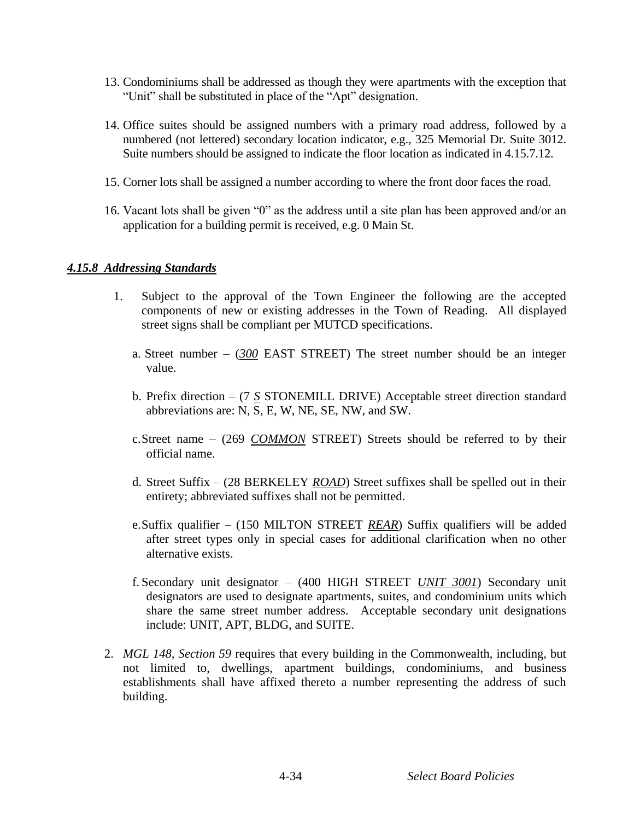- 13. Condominiums shall be addressed as though they were apartments with the exception that "Unit" shall be substituted in place of the "Apt" designation.
- 14. Office suites should be assigned numbers with a primary road address, followed by a numbered (not lettered) secondary location indicator, e.g., 325 Memorial Dr. Suite 3012. Suite numbers should be assigned to indicate the floor location as indicated in 4.15.7.12.
- 15. Corner lots shall be assigned a number according to where the front door faces the road.
- 16. Vacant lots shall be given "0" as the address until a site plan has been approved and/or an application for a building permit is received, e.g. 0 Main St.

#### *4.15.8 Addressing Standards*

- 1. Subject to the approval of the Town Engineer the following are the accepted components of new or existing addresses in the Town of Reading. All displayed street signs shall be compliant per MUTCD specifications.
	- a. Street number (*300* EAST STREET) The street number should be an integer value.
	- b. Prefix direction (7 *S* STONEMILL DRIVE) Acceptable street direction standard abbreviations are: N, S, E, W, NE, SE, NW, and SW.
	- c.Street name (269 *COMMON* STREET) Streets should be referred to by their official name.
	- d. Street Suffix (28 BERKELEY *ROAD*) Street suffixes shall be spelled out in their entirety; abbreviated suffixes shall not be permitted.
	- e.Suffix qualifier (150 MILTON STREET *REAR*) Suffix qualifiers will be added after street types only in special cases for additional clarification when no other alternative exists.
	- f. Secondary unit designator (400 HIGH STREET *UNIT 3001*) Secondary unit designators are used to designate apartments, suites, and condominium units which share the same street number address. Acceptable secondary unit designations include: UNIT, APT, BLDG, and SUITE.
- 2. *MGL 148, Section 59* requires that every building in the Commonwealth, including, but not limited to, dwellings, apartment buildings, condominiums, and business establishments shall have affixed thereto a number representing the address of such building.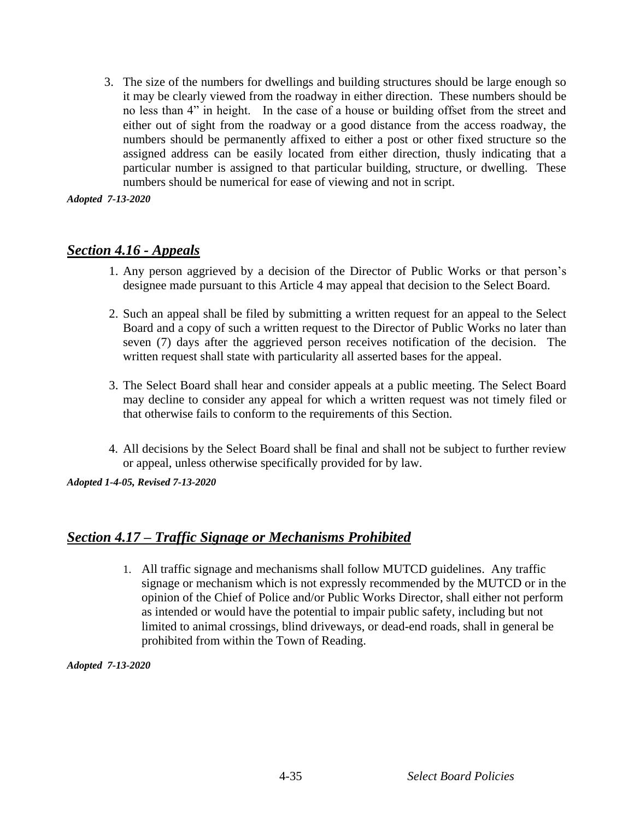3. The size of the numbers for dwellings and building structures should be large enough so it may be clearly viewed from the roadway in either direction. These numbers should be no less than 4" in height. In the case of a house or building offset from the street and either out of sight from the roadway or a good distance from the access roadway, the numbers should be permanently affixed to either a post or other fixed structure so the assigned address can be easily located from either direction, thusly indicating that a particular number is assigned to that particular building, structure, or dwelling. These numbers should be numerical for ease of viewing and not in script.

*Adopted 7-13-2020*

### *Section 4.16 - Appeals*

- 1. Any person aggrieved by a decision of the Director of Public Works or that person's designee made pursuant to this Article 4 may appeal that decision to the Select Board.
- 2. Such an appeal shall be filed by submitting a written request for an appeal to the Select Board and a copy of such a written request to the Director of Public Works no later than seven (7) days after the aggrieved person receives notification of the decision. The written request shall state with particularity all asserted bases for the appeal.
- 3. The Select Board shall hear and consider appeals at a public meeting. The Select Board may decline to consider any appeal for which a written request was not timely filed or that otherwise fails to conform to the requirements of this Section.
- 4. All decisions by the Select Board shall be final and shall not be subject to further review or appeal, unless otherwise specifically provided for by law.

*Adopted 1-4-05, Revised 7-13-2020*

### *Section 4.17 – Traffic Signage or Mechanisms Prohibited*

1. All traffic signage and mechanisms shall follow MUTCD guidelines. Any traffic signage or mechanism which is not expressly recommended by the MUTCD or in the opinion of the Chief of Police and/or Public Works Director, shall either not perform as intended or would have the potential to impair public safety, including but not limited to animal crossings, blind driveways, or dead-end roads, shall in general be prohibited from within the Town of Reading.

*Adopted 7-13-2020*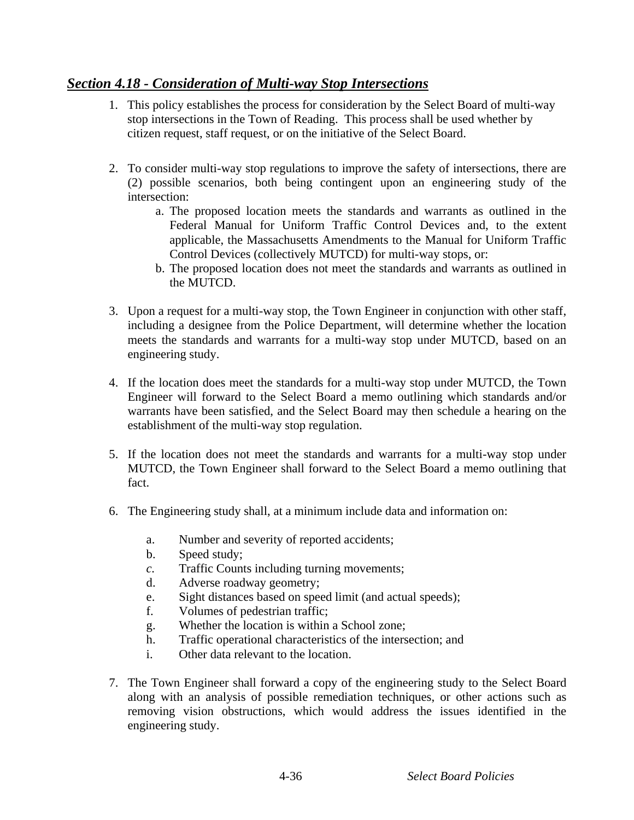# *Section 4.18 - Consideration of Multi-way Stop Intersections*

- 1. This policy establishes the process for consideration by the Select Board of multi-way stop intersections in the Town of Reading. This process shall be used whether by citizen request, staff request, or on the initiative of the Select Board.
- 2. To consider multi-way stop regulations to improve the safety of intersections, there are (2) possible scenarios, both being contingent upon an engineering study of the intersection:
	- a. The proposed location meets the standards and warrants as outlined in the Federal Manual for Uniform Traffic Control Devices and, to the extent applicable, the Massachusetts Amendments to the Manual for Uniform Traffic Control Devices (collectively MUTCD) for multi-way stops, or:
	- b. The proposed location does not meet the standards and warrants as outlined in the MUTCD.
- 3. Upon a request for a multi-way stop, the Town Engineer in conjunction with other staff, including a designee from the Police Department, will determine whether the location meets the standards and warrants for a multi-way stop under MUTCD, based on an engineering study.
- 4. If the location does meet the standards for a multi-way stop under MUTCD, the Town Engineer will forward to the Select Board a memo outlining which standards and/or warrants have been satisfied, and the Select Board may then schedule a hearing on the establishment of the multi-way stop regulation.
- 5. If the location does not meet the standards and warrants for a multi-way stop under MUTCD, the Town Engineer shall forward to the Select Board a memo outlining that fact.
- 6. The Engineering study shall, at a minimum include data and information on:
	- a. Number and severity of reported accidents;
	- b. Speed study;
	- *c.* Traffic Counts including turning movements;
	- d. Adverse roadway geometry;
	- e. Sight distances based on speed limit (and actual speeds);
	- f. Volumes of pedestrian traffic;
	- g. Whether the location is within a School zone;
	- h. Traffic operational characteristics of the intersection; and
	- i. Other data relevant to the location.
- 7. The Town Engineer shall forward a copy of the engineering study to the Select Board along with an analysis of possible remediation techniques, or other actions such as removing vision obstructions, which would address the issues identified in the engineering study.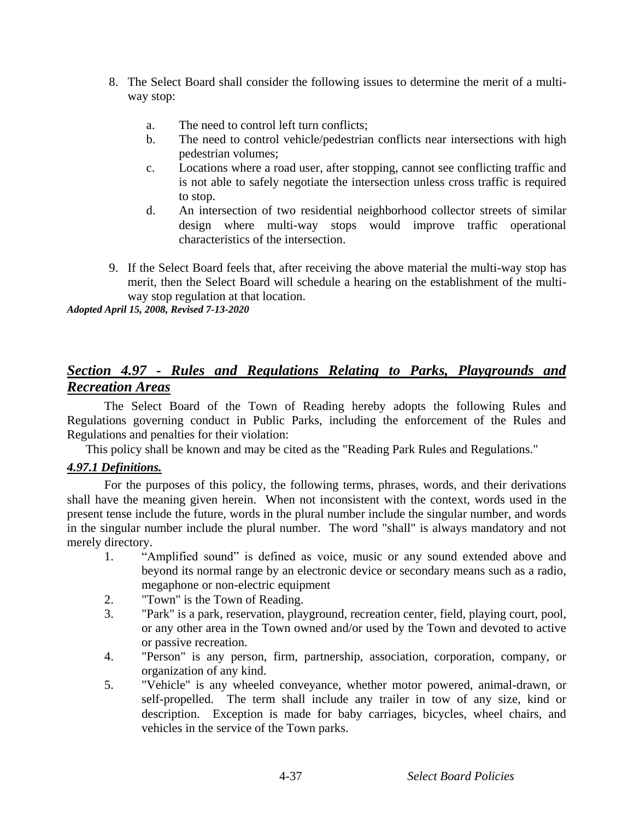- 8. The Select Board shall consider the following issues to determine the merit of a multiway stop:
	- a. The need to control left turn conflicts;
	- b. The need to control vehicle/pedestrian conflicts near intersections with high pedestrian volumes;
	- c. Locations where a road user, after stopping, cannot see conflicting traffic and is not able to safely negotiate the intersection unless cross traffic is required to stop.
	- d. An intersection of two residential neighborhood collector streets of similar design where multi-way stops would improve traffic operational characteristics of the intersection.
- 9. If the Select Board feels that, after receiving the above material the multi-way stop has merit, then the Select Board will schedule a hearing on the establishment of the multiway stop regulation at that location.

*Adopted April 15, 2008, Revised 7-13-2020*

# *Section 4.97 - Rules and Regulations Relating to Parks, Playgrounds and Recreation Areas*

The Select Board of the Town of Reading hereby adopts the following Rules and Regulations governing conduct in Public Parks, including the enforcement of the Rules and Regulations and penalties for their violation:

This policy shall be known and may be cited as the "Reading Park Rules and Regulations."

### *4.97.1 Definitions.*

For the purposes of this policy, the following terms, phrases, words, and their derivations shall have the meaning given herein. When not inconsistent with the context, words used in the present tense include the future, words in the plural number include the singular number, and words in the singular number include the plural number. The word "shall" is always mandatory and not merely directory.

- 1. "Amplified sound" is defined as voice, music or any sound extended above and beyond its normal range by an electronic device or secondary means such as a radio, megaphone or non-electric equipment
- 2. "Town" is the Town of Reading.
- 3. "Park" is a park, reservation, playground, recreation center, field, playing court, pool, or any other area in the Town owned and/or used by the Town and devoted to active or passive recreation.
- 4. "Person" is any person, firm, partnership, association, corporation, company, or organization of any kind.
- 5. "Vehicle" is any wheeled conveyance, whether motor powered, animal-drawn, or self-propelled. The term shall include any trailer in tow of any size, kind or description. Exception is made for baby carriages, bicycles, wheel chairs, and vehicles in the service of the Town parks.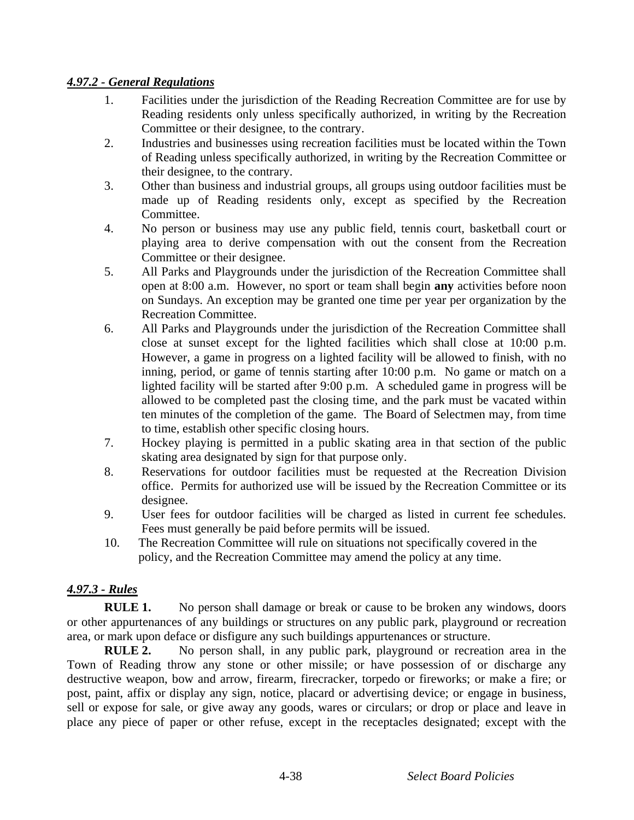#### *4.97.2 - General Regulations*

- 1. Facilities under the jurisdiction of the Reading Recreation Committee are for use by Reading residents only unless specifically authorized, in writing by the Recreation Committee or their designee, to the contrary.
- 2. Industries and businesses using recreation facilities must be located within the Town of Reading unless specifically authorized, in writing by the Recreation Committee or their designee, to the contrary.
- 3. Other than business and industrial groups, all groups using outdoor facilities must be made up of Reading residents only, except as specified by the Recreation Committee.
- 4. No person or business may use any public field, tennis court, basketball court or playing area to derive compensation with out the consent from the Recreation Committee or their designee.
- 5. All Parks and Playgrounds under the jurisdiction of the Recreation Committee shall open at 8:00 a.m. However, no sport or team shall begin **any** activities before noon on Sundays. An exception may be granted one time per year per organization by the Recreation Committee.
- 6. All Parks and Playgrounds under the jurisdiction of the Recreation Committee shall close at sunset except for the lighted facilities which shall close at 10:00 p.m. However, a game in progress on a lighted facility will be allowed to finish, with no inning, period, or game of tennis starting after 10:00 p.m. No game or match on a lighted facility will be started after 9:00 p.m. A scheduled game in progress will be allowed to be completed past the closing time, and the park must be vacated within ten minutes of the completion of the game. The Board of Selectmen may, from time to time, establish other specific closing hours.
- 7. Hockey playing is permitted in a public skating area in that section of the public skating area designated by sign for that purpose only.
- 8. Reservations for outdoor facilities must be requested at the Recreation Division office. Permits for authorized use will be issued by the Recreation Committee or its designee.
- 9. User fees for outdoor facilities will be charged as listed in current fee schedules. Fees must generally be paid before permits will be issued.
- 10. The Recreation Committee will rule on situations not specifically covered in the policy, and the Recreation Committee may amend the policy at any time.

### *4.97.3 - Rules*

**RULE 1.** No person shall damage or break or cause to be broken any windows, doors or other appurtenances of any buildings or structures on any public park, playground or recreation area, or mark upon deface or disfigure any such buildings appurtenances or structure.

**RULE 2.** No person shall, in any public park, playground or recreation area in the Town of Reading throw any stone or other missile; or have possession of or discharge any destructive weapon, bow and arrow, firearm, firecracker, torpedo or fireworks; or make a fire; or post, paint, affix or display any sign, notice, placard or advertising device; or engage in business, sell or expose for sale, or give away any goods, wares or circulars; or drop or place and leave in place any piece of paper or other refuse, except in the receptacles designated; except with the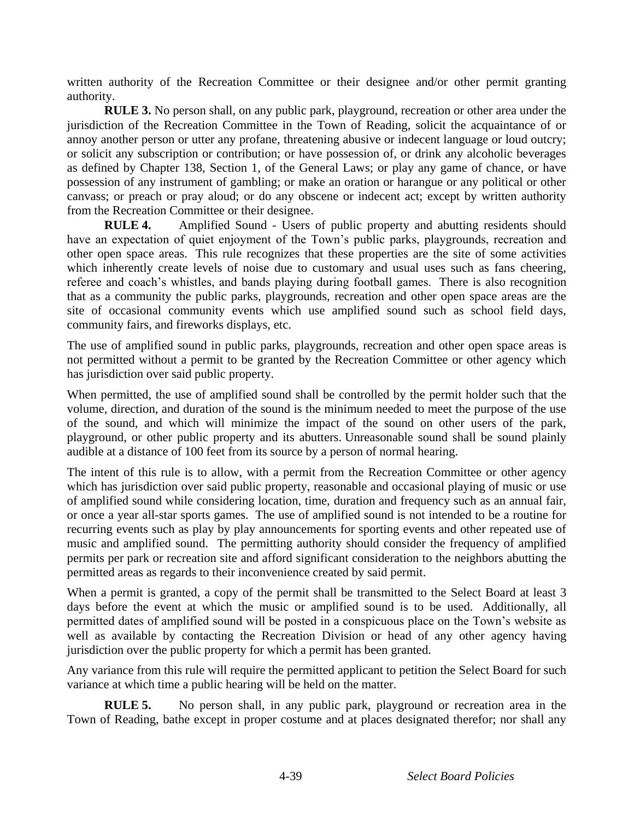written authority of the Recreation Committee or their designee and/or other permit granting authority.

**RULE 3.** No person shall, on any public park, playground, recreation or other area under the jurisdiction of the Recreation Committee in the Town of Reading, solicit the acquaintance of or annoy another person or utter any profane, threatening abusive or indecent language or loud outcry; or solicit any subscription or contribution; or have possession of, or drink any alcoholic beverages as defined by Chapter 138, Section 1, of the General Laws; or play any game of chance, or have possession of any instrument of gambling; or make an oration or harangue or any political or other canvass; or preach or pray aloud; or do any obscene or indecent act; except by written authority from the Recreation Committee or their designee.

**RULE 4.** Amplified Sound - Users of public property and abutting residents should have an expectation of quiet enjoyment of the Town's public parks, playgrounds, recreation and other open space areas. This rule recognizes that these properties are the site of some activities which inherently create levels of noise due to customary and usual uses such as fans cheering, referee and coach's whistles, and bands playing during football games. There is also recognition that as a community the public parks, playgrounds, recreation and other open space areas are the site of occasional community events which use amplified sound such as school field days, community fairs, and fireworks displays, etc.

The use of amplified sound in public parks, playgrounds, recreation and other open space areas is not permitted without a permit to be granted by the Recreation Committee or other agency which has jurisdiction over said public property.

When permitted, the use of amplified sound shall be controlled by the permit holder such that the volume, direction, and duration of the sound is the minimum needed to meet the purpose of the use of the sound, and which will minimize the impact of the sound on other users of the park, playground, or other public property and its abutters. Unreasonable sound shall be sound plainly audible at a distance of 100 feet from its source by a person of normal hearing.

The intent of this rule is to allow, with a permit from the Recreation Committee or other agency which has jurisdiction over said public property, reasonable and occasional playing of music or use of amplified sound while considering location, time, duration and frequency such as an annual fair, or once a year all-star sports games. The use of amplified sound is not intended to be a routine for recurring events such as play by play announcements for sporting events and other repeated use of music and amplified sound. The permitting authority should consider the frequency of amplified permits per park or recreation site and afford significant consideration to the neighbors abutting the permitted areas as regards to their inconvenience created by said permit.

When a permit is granted, a copy of the permit shall be transmitted to the Select Board at least 3 days before the event at which the music or amplified sound is to be used. Additionally, all permitted dates of amplified sound will be posted in a conspicuous place on the Town's website as well as available by contacting the Recreation Division or head of any other agency having jurisdiction over the public property for which a permit has been granted.

Any variance from this rule will require the permitted applicant to petition the Select Board for such variance at which time a public hearing will be held on the matter.

**RULE 5.** No person shall, in any public park, playground or recreation area in the Town of Reading, bathe except in proper costume and at places designated therefor; nor shall any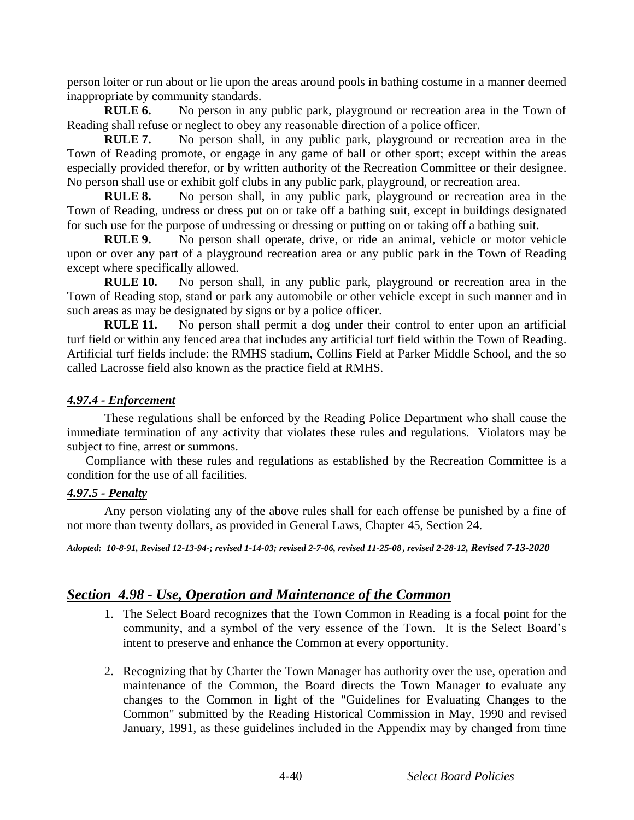person loiter or run about or lie upon the areas around pools in bathing costume in a manner deemed inappropriate by community standards.

**RULE 6.** No person in any public park, playground or recreation area in the Town of Reading shall refuse or neglect to obey any reasonable direction of a police officer.

**RULE 7.** No person shall, in any public park, playground or recreation area in the Town of Reading promote, or engage in any game of ball or other sport; except within the areas especially provided therefor, or by written authority of the Recreation Committee or their designee. No person shall use or exhibit golf clubs in any public park, playground, or recreation area.

**RULE 8.** No person shall, in any public park, playground or recreation area in the Town of Reading, undress or dress put on or take off a bathing suit, except in buildings designated for such use for the purpose of undressing or dressing or putting on or taking off a bathing suit.

**RULE 9.** No person shall operate, drive, or ride an animal, vehicle or motor vehicle upon or over any part of a playground recreation area or any public park in the Town of Reading except where specifically allowed.

**RULE 10.** No person shall, in any public park, playground or recreation area in the Town of Reading stop, stand or park any automobile or other vehicle except in such manner and in such areas as may be designated by signs or by a police officer.

**RULE 11.** No person shall permit a dog under their control to enter upon an artificial turf field or within any fenced area that includes any artificial turf field within the Town of Reading. Artificial turf fields include: the RMHS stadium, Collins Field at Parker Middle School, and the so called Lacrosse field also known as the practice field at RMHS.

#### *4.97.4 - Enforcement*

These regulations shall be enforced by the Reading Police Department who shall cause the immediate termination of any activity that violates these rules and regulations. Violators may be subject to fine, arrest or summons.

Compliance with these rules and regulations as established by the Recreation Committee is a condition for the use of all facilities.

#### *4.97.5 - Penalty*

Any person violating any of the above rules shall for each offense be punished by a fine of not more than twenty dollars, as provided in General Laws, Chapter 45, Section 24.

*Adopted: 10-8-91, Revised 12-13-94-; revised 1-14-03; revised 2-7-06, revised 11-25-08***,** *revised 2-28-12, Revised 7-13-2020*

### *Section 4.98 - Use, Operation and Maintenance of the Common*

- 1. The Select Board recognizes that the Town Common in Reading is a focal point for the community, and a symbol of the very essence of the Town. It is the Select Board's intent to preserve and enhance the Common at every opportunity.
- 2. Recognizing that by Charter the Town Manager has authority over the use, operation and maintenance of the Common, the Board directs the Town Manager to evaluate any changes to the Common in light of the "Guidelines for Evaluating Changes to the Common" submitted by the Reading Historical Commission in May, 1990 and revised January, 1991, as these guidelines included in the Appendix may by changed from time